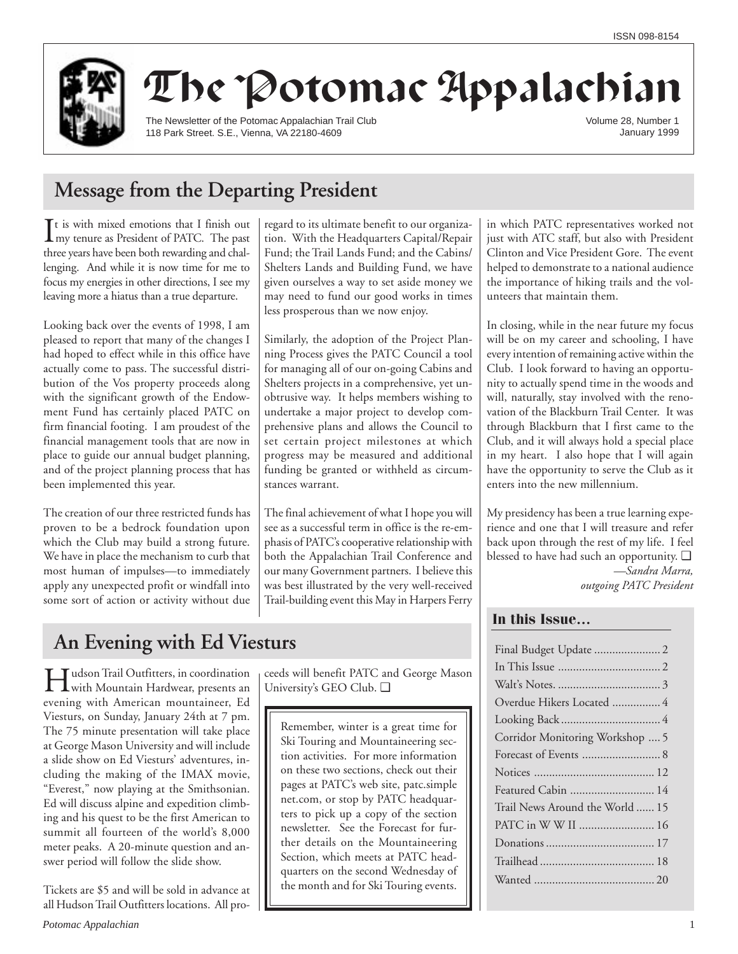

# The Potomac Appalachian

The Newsletter of the Potomac Appalachian Trail Club 118 Park Street. S.E., Vienna, VA 22180-4609

Volume 28, Number 1 January 1999

## **Message from the Departing President**

 $\prod$ t is with mixed emotions that I finish out<br>my tenure as President of PATC. The past my tenure as President of PATC. The past three years have been both rewarding and challenging. And while it is now time for me to focus my energies in other directions, I see my leaving more a hiatus than a true departure.

Looking back over the events of 1998, I am pleased to report that many of the changes I had hoped to effect while in this office have actually come to pass. The successful distribution of the Vos property proceeds along with the significant growth of the Endowment Fund has certainly placed PATC on firm financial footing. I am proudest of the financial management tools that are now in place to guide our annual budget planning, and of the project planning process that has been implemented this year.

The creation of our three restricted funds has proven to be a bedrock foundation upon which the Club may build a strong future. We have in place the mechanism to curb that most human of impulses—to immediately apply any unexpected profit or windfall into some sort of action or activity without due regard to its ultimate benefit to our organization. With the Headquarters Capital/Repair Fund; the Trail Lands Fund; and the Cabins/ Shelters Lands and Building Fund, we have given ourselves a way to set aside money we may need to fund our good works in times less prosperous than we now enjoy.

Similarly, the adoption of the Project Planning Process gives the PATC Council a tool for managing all of our on-going Cabins and Shelters projects in a comprehensive, yet unobtrusive way. It helps members wishing to undertake a major project to develop comprehensive plans and allows the Council to set certain project milestones at which progress may be measured and additional funding be granted or withheld as circumstances warrant.

The final achievement of what I hope you will see as a successful term in office is the re-emphasis of PATC's cooperative relationship with both the Appalachian Trail Conference and our many Government partners. I believe this was best illustrated by the very well-received Trail-building event this May in Harpers Ferry in which PATC representatives worked not just with ATC staff, but also with President Clinton and Vice President Gore. The event helped to demonstrate to a national audience the importance of hiking trails and the volunteers that maintain them.

In closing, while in the near future my focus will be on my career and schooling, I have every intention of remaining active within the Club. I look forward to having an opportunity to actually spend time in the woods and will, naturally, stay involved with the renovation of the Blackburn Trail Center. It was through Blackburn that I first came to the Club, and it will always hold a special place in my heart. I also hope that I will again have the opportunity to serve the Club as it enters into the new millennium.

My presidency has been a true learning experience and one that I will treasure and refer back upon through the rest of my life. I feel blessed to have had such an opportunity. ❑ *—Sandra Marra, outgoing PATC President*

## **In this Issue…**

| Final Budget Update  2          |
|---------------------------------|
|                                 |
|                                 |
| Overdue Hikers Located  4       |
|                                 |
| Corridor Monitoring Workshop  5 |
|                                 |
|                                 |
| Featured Cabin  14              |
| Trail News Around the World  15 |
| PATC in W W II  16              |
|                                 |
|                                 |
|                                 |
|                                 |

## **An Evening with Ed Viesturs**

**HU** with Mountain Hardwear, presents and with Mountain Hardwear, presents and evening with American mountaineer, Ed Viesturs, on Sunday, January 24th at 7 pm. The 75 minute presentation will take place at George Mason University and will include a slide show on Ed Viesturs' adventures, including the making of the IMAX movie, "Everest," now playing at the Smithsonian. Ed will discuss alpine and expedition climbing and his quest to be the first American to summit all fourteen of the world's 8,000 meter peaks. A 20-minute question and answer period will follow the slide show.

Tickets are \$5 and will be sold in advance at all Hudson Trail Outfitters locations. All proceeds will benefit PATC and George Mason University's GEO Club. ❑

Remember, winter is a great time for Ski Touring and Mountaineering section activities. For more information on these two sections, check out their pages at PATC's web site, patc.simple net.com, or stop by PATC headquarters to pick up a copy of the section newsletter. See the Forecast for further details on the Mountaineering Section, which meets at PATC headquarters on the second Wednesday of the month and for Ski Touring events.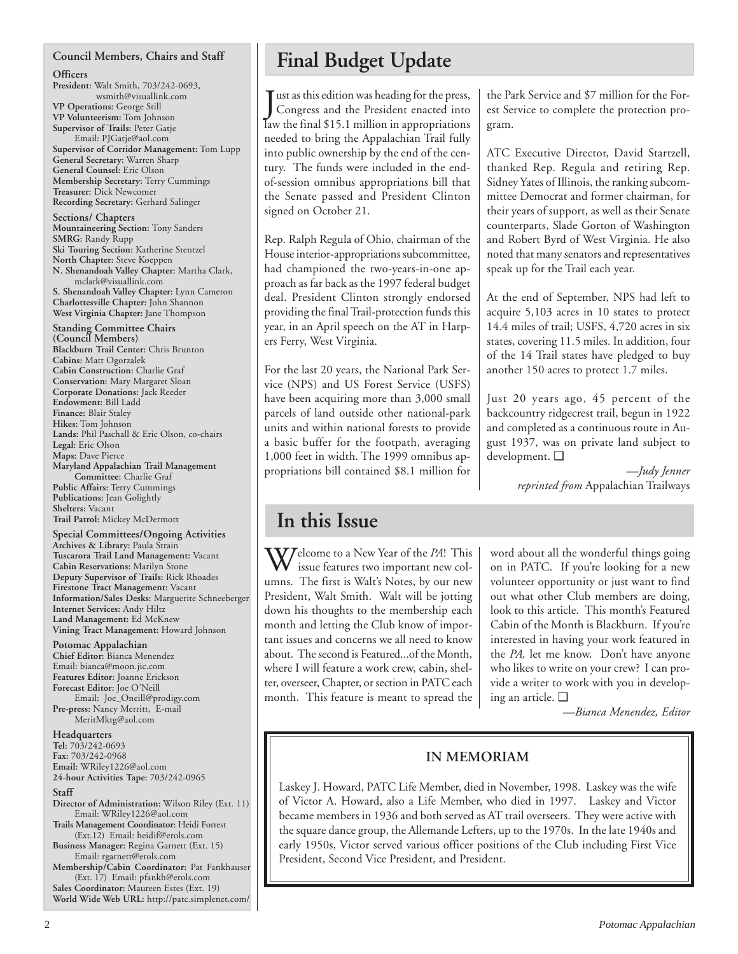### **Council Members, Chairs and Staff**

**Officers**

**President:** Walt Smith, 703/242-0693, wsmith@visuallink.com **VP Operations:** George Still **VP Volunteerism:** Tom Johnson **Supervisor of Trails:** Peter Gatje Email: PJGatje@aol.com **Supervisor of Corridor Management:** Tom Lupp **General Secretary:** Warren Sharp **General Counsel:** Eric Olson **Membership Secretary:** Terry Cummings **Treasurer:** Dick Newcomer **Recording Secretary:** Gerhard Salinger

**Sections/ Chapters Mountaineering Section:** Tony Sanders **SMRG:** Randy Rupp **Ski Touring Section:** Katherine Stentzel **North Chapter:** Steve Koeppen **N. Shenandoah Valley Chapter:** Martha Clark, mclark@visuallink.com **S. Shenandoah Valley Chapter:** Lynn Cameron **Charlottesville Chapter:** John Shannon **West Virginia Chapter:** Jane Thompson

**Standing Committee Chairs (Council Members) Blackburn Trail Center:** Chris Brunton **Cabins:** Matt Ogorzalek **Cabin Construction:** Charlie Graf **Conservation:** Mary Margaret Sloan **Corporate Donations:** Jack Reeder **Endowment:** Bill Ladd **Finance:** Blair Staley **Hikes:** Tom Johnson **Lands:** Phil Paschall & Eric Olson, co-chairs **Legal:** Eric Olson **Maps:** Dave Pierce **Maryland Appalachian Trail Management Committee:** Charlie Graf **Public Affairs:** Terry Cummings **Publications:** Jean Golightly **Shelters:** Vacant **Trail Patrol:** Mickey McDermott

**Special Committees/Ongoing Activities Archives & Library:** Paula Strain **Tuscarora Trail Land Management:** Vacant **Cabin Reservations:** Marilyn Stone **Deputy Supervisor of Trails:** Rick Rhoades **Firestone Tract Management:** Vacant **Information/Sales Desks:** Marguerite Schneeberger **Internet Services:** Andy Hiltz **Land Management:** Ed McKnew **Vining Tract Management:** Howard Johnson

### **Potomac Appalachian**

**Chief Editor:** Bianca Menendez Email: bianca@moon.jic.com **Features Editor:** Joanne Erickson **Forecast Editor:** Joe O'Neill Email: Joe\_Oneill@prodigy.com Pre-press: Nancy Merritt, E-mail MeritMktg@aol.com

**Headquarters Tel:** 703/242-0693 **Fax:** 703/242-0968 **Email:** WRiley1226@aol.com **24-hour Activities Tape:** 703/242-0965

### **Staff**

**Director of Administration:** Wilson Riley (Ext. 11) Email: WRiley1226@aol.com

**Trails Management Coordinator:** Heidi Forrest (Ext.12) Email: heidif@erols.com

**Business Manager:** Regina Garnett (Ext. 15) Email: rgarnett@erols.com

**Membership/Cabin Coordinator:** Pat Fankhauser (Ext. 17) Email: pfankh@erols.com

**Sales Coordinator:** Maureen Estes (Ext. 19) **World Wide Web URL:** http://patc.simplenet.com/

## **Final Budget Update**

Just as this edition was heading for the press,<br>Congress and the President enacted into Congress and the President enacted into law the final \$15.1 million in appropriations needed to bring the Appalachian Trail fully into public ownership by the end of the century. The funds were included in the endof-session omnibus appropriations bill that the Senate passed and President Clinton signed on October 21.

Rep. Ralph Regula of Ohio, chairman of the House interior-appropriations subcommittee, had championed the two-years-in-one approach as far back as the 1997 federal budget deal. President Clinton strongly endorsed providing the final Trail-protection funds this year, in an April speech on the AT in Harpers Ferry, West Virginia.

For the last 20 years, the National Park Service (NPS) and US Forest Service (USFS) have been acquiring more than 3,000 small parcels of land outside other national-park units and within national forests to provide a basic buffer for the footpath, averaging 1,000 feet in width. The 1999 omnibus appropriations bill contained \$8.1 million for the Park Service and \$7 million for the Forest Service to complete the protection program.

ATC Executive Director, David Startzell, thanked Rep. Regula and retiring Rep. Sidney Yates of Illinois, the ranking subcommittee Democrat and former chairman, for their years of support, as well as their Senate counterparts, Slade Gorton of Washington and Robert Byrd of West Virginia. He also noted that many senators and representatives speak up for the Trail each year.

At the end of September, NPS had left to acquire 5,103 acres in 10 states to protect 14.4 miles of trail; USFS, 4,720 acres in six states, covering 11.5 miles. In addition, four of the 14 Trail states have pledged to buy another 150 acres to protect 1.7 miles.

Just 20 years ago, 45 percent of the backcountry ridgecrest trail, begun in 1922 and completed as a continuous route in August 1937, was on private land subject to development. ❑

*—Judy Jenner reprinted from* Appalachian Trailways

## **In this Issue**

Welcome to a New Year of the *PA*! This issue features two important new columns. The first is Walt's Notes, by our new President, Walt Smith. Walt will be jotting down his thoughts to the membership each month and letting the Club know of important issues and concerns we all need to know about. The second is Featured...of the Month, where I will feature a work crew, cabin, shelter, overseer, Chapter, or section in PATC each month. This feature is meant to spread the

word about all the wonderful things going on in PATC. If you're looking for a new volunteer opportunity or just want to find out what other Club members are doing, look to this article. This month's Featured Cabin of the Month is Blackburn. If you're interested in having your work featured in the *PA,* let me know. Don't have anyone who likes to write on your crew? I can provide a writer to work with you in developing an article. ❑

*—Bianca Menendez, Editor*

## **IN MEMORIAM**

Laskey J. Howard, PATC Life Member, died in November, 1998. Laskey was the wife of Victor A. Howard, also a Life Member, who died in 1997. Laskey and Victor became members in 1936 and both served as AT trail overseers. They were active with the square dance group, the Allemande Lefters, up to the 1970s. In the late 1940s and early 1950s, Victor served various officer positions of the Club including First Vice President, Second Vice President, and President.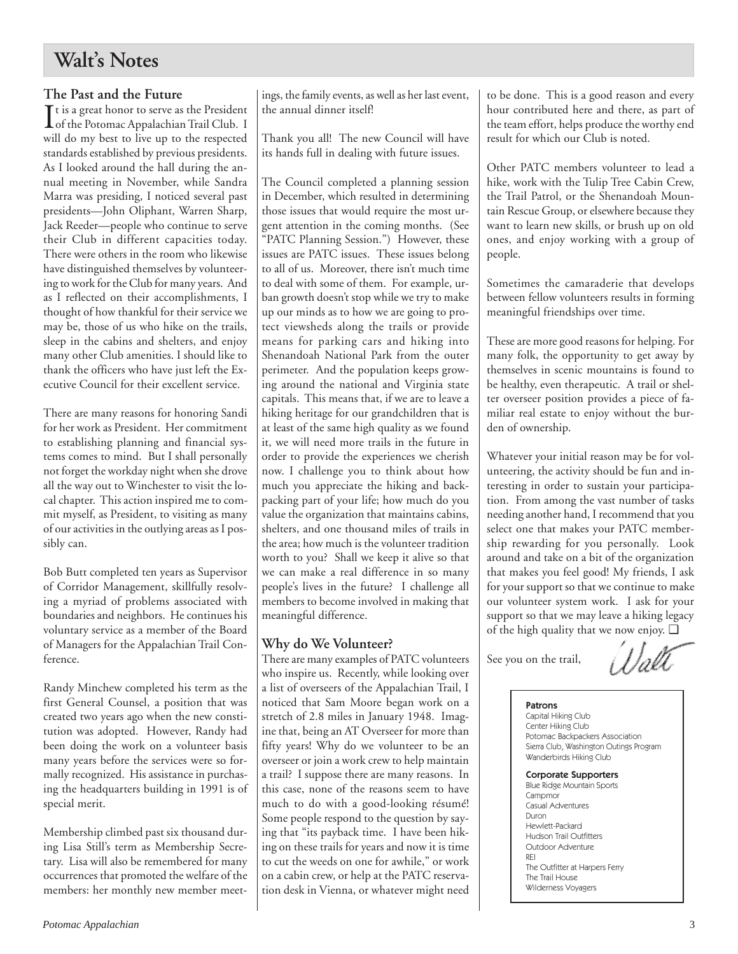## **Walt's Notes**

### **The Past and the Future**

It is a great honor to serve as the President<br>of the Potomac Appalachian Trail Club. I of the Potomac Appalachian Trail Club. I will do my best to live up to the respected standards established by previous presidents. As I looked around the hall during the annual meeting in November, while Sandra Marra was presiding, I noticed several past presidents—John Oliphant, Warren Sharp, Jack Reeder—people who continue to serve their Club in different capacities today. There were others in the room who likewise have distinguished themselves by volunteering to work for the Club for many years. And as I reflected on their accomplishments, I thought of how thankful for their service we may be, those of us who hike on the trails, sleep in the cabins and shelters, and enjoy many other Club amenities. I should like to thank the officers who have just left the Executive Council for their excellent service.

There are many reasons for honoring Sandi for her work as President. Her commitment to establishing planning and financial systems comes to mind. But I shall personally not forget the workday night when she drove all the way out to Winchester to visit the local chapter. This action inspired me to commit myself, as President, to visiting as many of our activities in the outlying areas as I possibly can.

Bob Butt completed ten years as Supervisor of Corridor Management, skillfully resolving a myriad of problems associated with boundaries and neighbors. He continues his voluntary service as a member of the Board of Managers for the Appalachian Trail Conference.

Randy Minchew completed his term as the first General Counsel, a position that was created two years ago when the new constitution was adopted. However, Randy had been doing the work on a volunteer basis many years before the services were so formally recognized. His assistance in purchasing the headquarters building in 1991 is of special merit.

Membership climbed past six thousand during Lisa Still's term as Membership Secretary. Lisa will also be remembered for many occurrences that promoted the welfare of the members: her monthly new member meetings, the family events, as well as her last event, the annual dinner itself!

Thank you all! The new Council will have its hands full in dealing with future issues.

The Council completed a planning session in December, which resulted in determining those issues that would require the most urgent attention in the coming months. (See "PATC Planning Session.") However, these issues are PATC issues. These issues belong to all of us. Moreover, there isn't much time to deal with some of them. For example, urban growth doesn't stop while we try to make up our minds as to how we are going to protect viewsheds along the trails or provide means for parking cars and hiking into Shenandoah National Park from the outer perimeter. And the population keeps growing around the national and Virginia state capitals. This means that, if we are to leave a hiking heritage for our grandchildren that is at least of the same high quality as we found it, we will need more trails in the future in order to provide the experiences we cherish now. I challenge you to think about how much you appreciate the hiking and backpacking part of your life; how much do you value the organization that maintains cabins, shelters, and one thousand miles of trails in the area; how much is the volunteer tradition worth to you? Shall we keep it alive so that we can make a real difference in so many people's lives in the future? I challenge all members to become involved in making that meaningful difference.

### **Why do We Volunteer?**

There are many examples of PATC volunteers who inspire us. Recently, while looking over a list of overseers of the Appalachian Trail, I noticed that Sam Moore began work on a stretch of 2.8 miles in January 1948. Imagine that, being an AT Overseer for more than fifty years! Why do we volunteer to be an overseer or join a work crew to help maintain a trail? I suppose there are many reasons. In this case, none of the reasons seem to have much to do with a good-looking résumé! Some people respond to the question by saying that "its payback time. I have been hiking on these trails for years and now it is time to cut the weeds on one for awhile," or work on a cabin crew, or help at the PATC reservation desk in Vienna, or whatever might need to be done. This is a good reason and every hour contributed here and there, as part of the team effort, helps produce the worthy end result for which our Club is noted.

Other PATC members volunteer to lead a hike, work with the Tulip Tree Cabin Crew, the Trail Patrol, or the Shenandoah Mountain Rescue Group, or elsewhere because they want to learn new skills, or brush up on old ones, and enjoy working with a group of people.

Sometimes the camaraderie that develops between fellow volunteers results in forming meaningful friendships over time.

These are more good reasons for helping. For many folk, the opportunity to get away by themselves in scenic mountains is found to be healthy, even therapeutic. A trail or shelter overseer position provides a piece of familiar real estate to enjoy without the burden of ownership.

Whatever your initial reason may be for volunteering, the activity should be fun and interesting in order to sustain your participation. From among the vast number of tasks needing another hand, I recommend that you select one that makes your PATC membership rewarding for you personally. Look around and take on a bit of the organization that makes you feel good! My friends, I ask for your support so that we continue to make our volunteer system work. I ask for your support so that we may leave a hiking legacy of the high quality that we now enjoy. ❑

See you on the trail,

### Patrons

Capital Hiking Club Center Hiking Club Potomac Backpackers Association Sierra Club, Washington Outings Program Wanderbirds Hiking Club

### Corporate Supporters

Blue Ridge Mountain Sports **Campmor** Casual Adventures Duron Hewlett-Packard Hudson Trail Outfitters Outdoor Adventure REI The Outfitter at Harpers Ferry The Trail House Wilderness Voyagers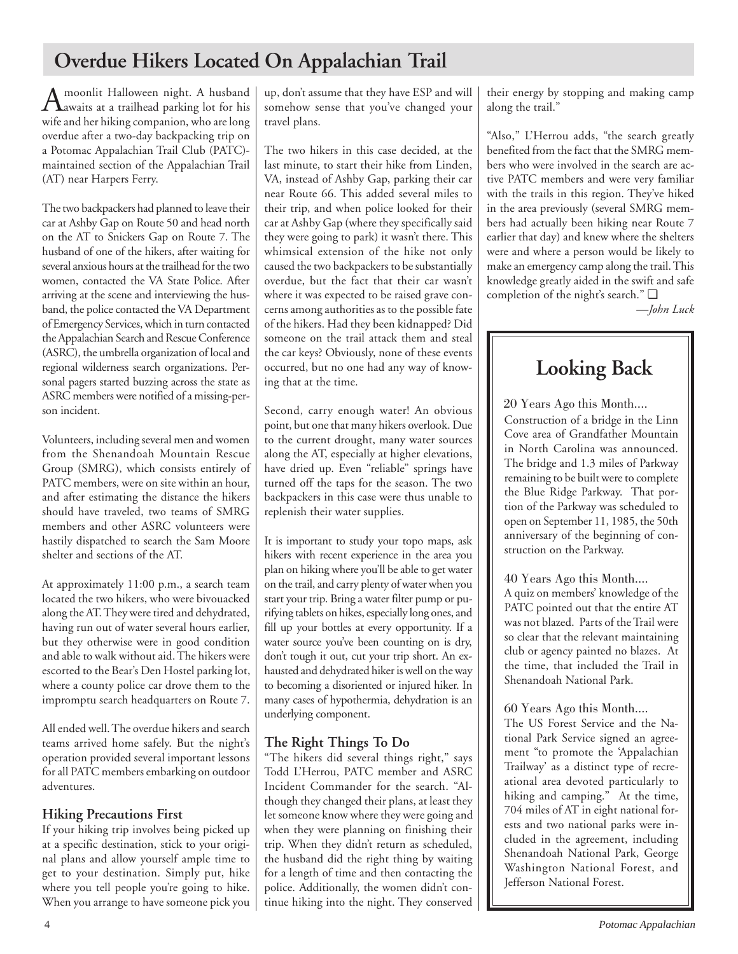## **Overdue Hikers Located On Appalachian Trail**

A moonlit Halloween night. A husband<br>Aawaits at a trailhead parking lot for his wife and her hiking companion, who are long overdue after a two-day backpacking trip on a Potomac Appalachian Trail Club (PATC) maintained section of the Appalachian Trail (AT) near Harpers Ferry.

The two backpackers had planned to leave their car at Ashby Gap on Route 50 and head north on the AT to Snickers Gap on Route 7. The husband of one of the hikers, after waiting for several anxious hours at the trailhead for the two women, contacted the VA State Police. After arriving at the scene and interviewing the husband, the police contacted the VA Department of Emergency Services, which in turn contacted the Appalachian Search and Rescue Conference (ASRC), the umbrella organization of local and regional wilderness search organizations. Personal pagers started buzzing across the state as ASRC members were notified of a missing-person incident.

Volunteers, including several men and women from the Shenandoah Mountain Rescue Group (SMRG), which consists entirely of PATC members, were on site within an hour, and after estimating the distance the hikers should have traveled, two teams of SMRG members and other ASRC volunteers were hastily dispatched to search the Sam Moore shelter and sections of the AT.

At approximately 11:00 p.m., a search team located the two hikers, who were bivouacked along the AT. They were tired and dehydrated, having run out of water several hours earlier, but they otherwise were in good condition and able to walk without aid. The hikers were escorted to the Bear's Den Hostel parking lot, where a county police car drove them to the impromptu search headquarters on Route 7.

All ended well. The overdue hikers and search teams arrived home safely. But the night's operation provided several important lessons for all PATC members embarking on outdoor adventures.

## **Hiking Precautions First**

If your hiking trip involves being picked up at a specific destination, stick to your original plans and allow yourself ample time to get to your destination. Simply put, hike where you tell people you're going to hike. When you arrange to have someone pick you up, don't assume that they have ESP and will somehow sense that you've changed your travel plans.

The two hikers in this case decided, at the last minute, to start their hike from Linden, VA, instead of Ashby Gap, parking their car near Route 66. This added several miles to their trip, and when police looked for their car at Ashby Gap (where they specifically said they were going to park) it wasn't there. This whimsical extension of the hike not only caused the two backpackers to be substantially overdue, but the fact that their car wasn't where it was expected to be raised grave concerns among authorities as to the possible fate of the hikers. Had they been kidnapped? Did someone on the trail attack them and steal the car keys? Obviously, none of these events occurred, but no one had any way of knowing that at the time.

Second, carry enough water! An obvious point, but one that many hikers overlook. Due to the current drought, many water sources along the AT, especially at higher elevations, have dried up. Even "reliable" springs have turned off the taps for the season. The two backpackers in this case were thus unable to replenish their water supplies.

It is important to study your topo maps, ask hikers with recent experience in the area you plan on hiking where you'll be able to get water on the trail, and carry plenty of water when you start your trip. Bring a water filter pump or purifying tablets on hikes, especially long ones, and fill up your bottles at every opportunity. If a water source you've been counting on is dry, don't tough it out, cut your trip short. An exhausted and dehydrated hiker is well on the way to becoming a disoriented or injured hiker. In many cases of hypothermia, dehydration is an underlying component.

## **The Right Things To Do**

"The hikers did several things right," says Todd L'Herrou, PATC member and ASRC Incident Commander for the search. "Although they changed their plans, at least they let someone know where they were going and when they were planning on finishing their trip. When they didn't return as scheduled, the husband did the right thing by waiting for a length of time and then contacting the police. Additionally, the women didn't continue hiking into the night. They conserved their energy by stopping and making camp along the trail."

"Also," L'Herrou adds, "the search greatly benefited from the fact that the SMRG members who were involved in the search are active PATC members and were very familiar with the trails in this region. They've hiked in the area previously (several SMRG members had actually been hiking near Route 7 earlier that day) and knew where the shelters were and where a person would be likely to make an emergency camp along the trail. This knowledge greatly aided in the swift and safe completion of the night's search." ❑

*—John Luck*

## **Looking Back**

20 Years Ago this Month....

Construction of a bridge in the Linn Cove area of Grandfather Mountain in North Carolina was announced. The bridge and 1.3 miles of Parkway remaining to be built were to complete the Blue Ridge Parkway. That portion of the Parkway was scheduled to open on September 11, 1985, the 50th anniversary of the beginning of construction on the Parkway.

40 Years Ago this Month....

A quiz on members' knowledge of the PATC pointed out that the entire AT was not blazed. Parts of the Trail were so clear that the relevant maintaining club or agency painted no blazes. At the time, that included the Trail in Shenandoah National Park.

60 Years Ago this Month....

The US Forest Service and the National Park Service signed an agreement "to promote the 'Appalachian Trailway' as a distinct type of recreational area devoted particularly to hiking and camping." At the time, 704 miles of AT in eight national forests and two national parks were included in the agreement, including Shenandoah National Park, George Washington National Forest, and Jefferson National Forest.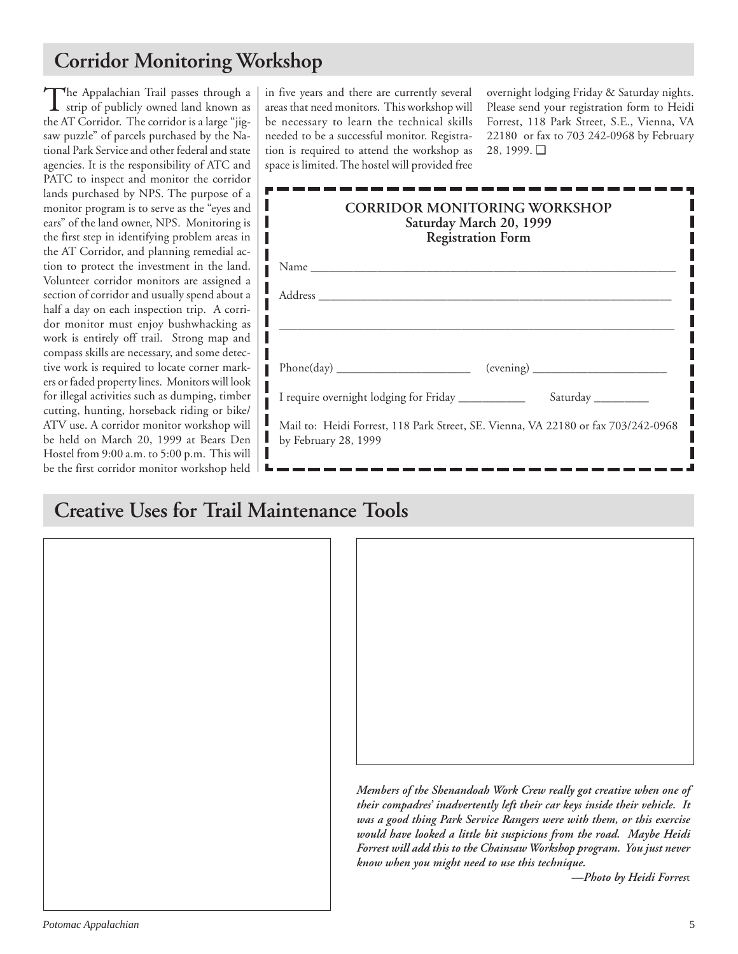## **Corridor Monitoring Workshop**

The Appalachian Trail passes through a<br>strip of publicly owned land known as the AT Corridor. The corridor is a large "jigsaw puzzle" of parcels purchased by the National Park Service and other federal and state agencies. It is the responsibility of ATC and PATC to inspect and monitor the corridor lands purchased by NPS. The purpose of a monitor program is to serve as the "eyes and ears" of the land owner, NPS. Monitoring is the first step in identifying problem areas in the AT Corridor, and planning remedial action to protect the investment in the land. Volunteer corridor monitors are assigned a section of corridor and usually spend about a half a day on each inspection trip. A corridor monitor must enjoy bushwhacking as work is entirely off trail. Strong map and compass skills are necessary, and some detective work is required to locate corner markers or faded property lines. Monitors will look for illegal activities such as dumping, timber cutting, hunting, horseback riding or bike/ ATV use. A corridor monitor workshop will be held on March 20, 1999 at Bears Den Hostel from 9:00 a.m. to 5:00 p.m. This will be the first corridor monitor workshop held in five years and there are currently several areas that need monitors. This workshop will be necessary to learn the technical skills needed to be a successful monitor. Registration is required to attend the workshop as space is limited. The hostel will provided free

overnight lodging Friday & Saturday nights. Please send your registration form to Heidi Forrest, 118 Park Street, S.E., Vienna, VA 22180 or fax to 703 242-0968 by February 28, 1999. ❑

| <b>CORRIDOR MONITORING WORKSHOP</b><br>Saturday March 20, 1999<br><b>Registration Form</b>                |  |  |  |  |
|-----------------------------------------------------------------------------------------------------------|--|--|--|--|
|                                                                                                           |  |  |  |  |
|                                                                                                           |  |  |  |  |
|                                                                                                           |  |  |  |  |
|                                                                                                           |  |  |  |  |
| I require overnight lodging for Friday ___________<br>Saturday                                            |  |  |  |  |
| Mail to: Heidi Forrest, 118 Park Street, SE. Vienna, VA 22180 or fax 703/242-0968<br>by February 28, 1999 |  |  |  |  |

## **Creative Uses for Trail Maintenance Tools**





*Members of the Shenandoah Work Crew really got creative when one of their compadres' inadvertently left their car keys inside their vehicle. It was a good thing Park Service Rangers were with them, or this exercise would have looked a little bit suspicious from the road. Maybe Heidi Forrest will add this to the Chainsaw Workshop program. You just never know when you might need to use this technique.*

*—Photo by Heidi Forres*t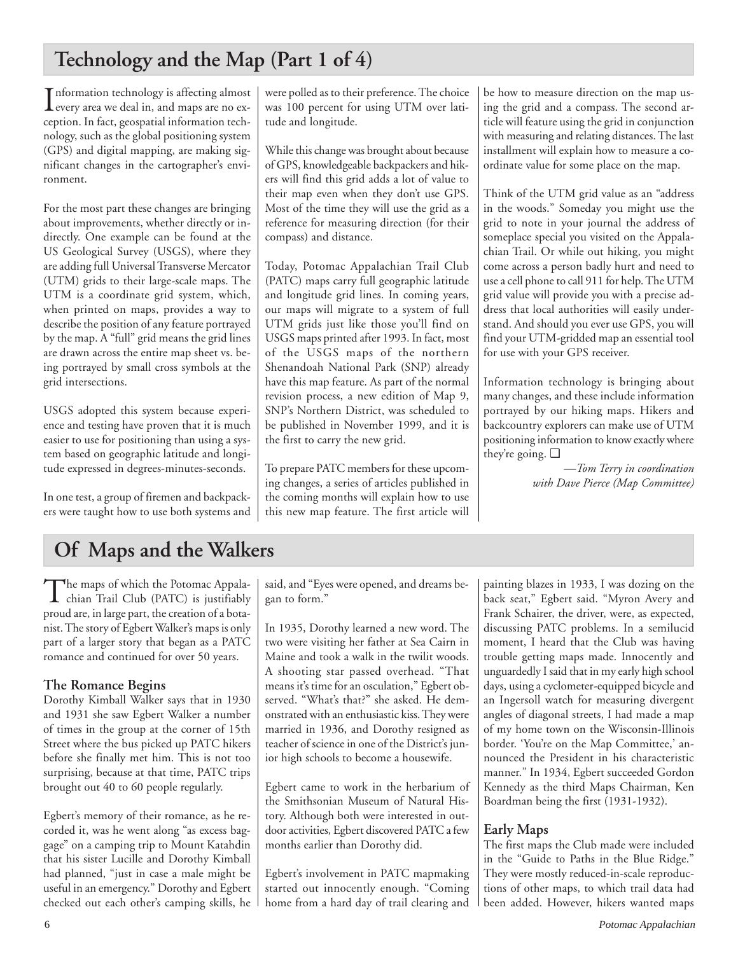## **Technology and the Map (Part 1 of 4)**

Information technology is affecting almost<br>every area we deal in, and maps are no exevery area we deal in, and maps are no exception. In fact, geospatial information technology, such as the global positioning system (GPS) and digital mapping, are making significant changes in the cartographer's environment.

For the most part these changes are bringing about improvements, whether directly or indirectly. One example can be found at the US Geological Survey (USGS), where they are adding full Universal Transverse Mercator (UTM) grids to their large-scale maps. The UTM is a coordinate grid system, which, when printed on maps, provides a way to describe the position of any feature portrayed by the map. A "full" grid means the grid lines are drawn across the entire map sheet vs. being portrayed by small cross symbols at the grid intersections.

USGS adopted this system because experience and testing have proven that it is much easier to use for positioning than using a system based on geographic latitude and longitude expressed in degrees-minutes-seconds.

In one test, a group of firemen and backpackers were taught how to use both systems and were polled as to their preference. The choice was 100 percent for using UTM over latitude and longitude.

While this change was brought about because of GPS, knowledgeable backpackers and hikers will find this grid adds a lot of value to their map even when they don't use GPS. Most of the time they will use the grid as a reference for measuring direction (for their compass) and distance.

Today, Potomac Appalachian Trail Club (PATC) maps carry full geographic latitude and longitude grid lines. In coming years, our maps will migrate to a system of full UTM grids just like those you'll find on USGS maps printed after 1993. In fact, most of the USGS maps of the northern Shenandoah National Park (SNP) already have this map feature. As part of the normal revision process, a new edition of Map 9, SNP's Northern District, was scheduled to be published in November 1999, and it is the first to carry the new grid.

To prepare PATC members for these upcoming changes, a series of articles published in the coming months will explain how to use this new map feature. The first article will be how to measure direction on the map using the grid and a compass. The second article will feature using the grid in conjunction with measuring and relating distances. The last installment will explain how to measure a coordinate value for some place on the map.

Think of the UTM grid value as an "address in the woods." Someday you might use the grid to note in your journal the address of someplace special you visited on the Appalachian Trail. Or while out hiking, you might come across a person badly hurt and need to use a cell phone to call 911 for help. The UTM grid value will provide you with a precise address that local authorities will easily understand. And should you ever use GPS, you will find your UTM-gridded map an essential tool for use with your GPS receiver.

Information technology is bringing about many changes, and these include information portrayed by our hiking maps. Hikers and backcountry explorers can make use of UTM positioning information to know exactly where they're going. ❑

> *—Tom Terry in coordination with Dave Pierce (Map Committee)*

## **Of Maps and the Walkers**

The maps of which the Potomac Appala-<br>chian Trail Club (PATC) is justifiably proud are, in large part, the creation of a botanist. The story of Egbert Walker's maps is only part of a larger story that began as a PATC romance and continued for over 50 years.

### **The Romance Begins**

Dorothy Kimball Walker says that in 1930 and 1931 she saw Egbert Walker a number of times in the group at the corner of 15th Street where the bus picked up PATC hikers before she finally met him. This is not too surprising, because at that time, PATC trips brought out 40 to 60 people regularly.

Egbert's memory of their romance, as he recorded it, was he went along "as excess baggage" on a camping trip to Mount Katahdin that his sister Lucille and Dorothy Kimball had planned, "just in case a male might be useful in an emergency." Dorothy and Egbert checked out each other's camping skills, he said, and "Eyes were opened, and dreams began to form."

In 1935, Dorothy learned a new word. The two were visiting her father at Sea Cairn in Maine and took a walk in the twilit woods. A shooting star passed overhead. "That means it's time for an osculation," Egbert observed. "What's that?" she asked. He demonstrated with an enthusiastic kiss. They were married in 1936, and Dorothy resigned as teacher of science in one of the District's junior high schools to become a housewife.

Egbert came to work in the herbarium of the Smithsonian Museum of Natural History. Although both were interested in outdoor activities, Egbert discovered PATC a few months earlier than Dorothy did.

Egbert's involvement in PATC mapmaking started out innocently enough. "Coming home from a hard day of trail clearing and

painting blazes in 1933, I was dozing on the back seat," Egbert said. "Myron Avery and Frank Schairer, the driver, were, as expected, discussing PATC problems. In a semilucid moment, I heard that the Club was having trouble getting maps made. Innocently and unguardedly I said that in my early high school days, using a cyclometer-equipped bicycle and an Ingersoll watch for measuring divergent angles of diagonal streets, I had made a map of my home town on the Wisconsin-Illinois border. 'You're on the Map Committee,' announced the President in his characteristic manner." In 1934, Egbert succeeded Gordon Kennedy as the third Maps Chairman, Ken Boardman being the first (1931-1932).

## **Early Maps**

The first maps the Club made were included in the "Guide to Paths in the Blue Ridge." They were mostly reduced-in-scale reproductions of other maps, to which trail data had been added. However, hikers wanted maps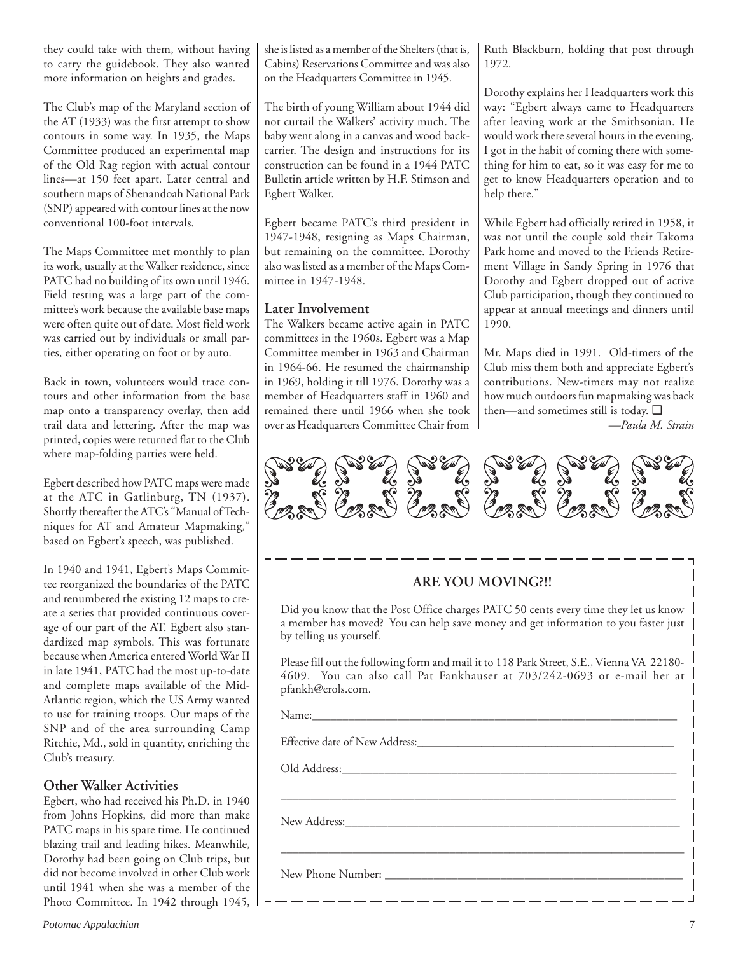they could take with them, without having to carry the guidebook. They also wanted more information on heights and grades.

The Club's map of the Maryland section of the AT (1933) was the first attempt to show contours in some way. In 1935, the Maps Committee produced an experimental map of the Old Rag region with actual contour lines—at 150 feet apart. Later central and southern maps of Shenandoah National Park (SNP) appeared with contour lines at the now conventional 100-foot intervals.

The Maps Committee met monthly to plan its work, usually at the Walker residence, since PATC had no building of its own until 1946. Field testing was a large part of the committee's work because the available base maps were often quite out of date. Most field work was carried out by individuals or small parties, either operating on foot or by auto.

Back in town, volunteers would trace contours and other information from the base map onto a transparency overlay, then add trail data and lettering. After the map was printed, copies were returned flat to the Club where map-folding parties were held.

Egbert described how PATC maps were made at the ATC in Gatlinburg, TN (1937). Shortly thereafter the ATC's "Manual of Techniques for AT and Amateur Mapmaking," based on Egbert's speech, was published.

In 1940 and 1941, Egbert's Maps Committee reorganized the boundaries of the PATC and renumbered the existing 12 maps to create a series that provided continuous coverage of our part of the AT. Egbert also standardized map symbols. This was fortunate because when America entered World War II in late 1941, PATC had the most up-to-date and complete maps available of the Mid-Atlantic region, which the US Army wanted to use for training troops. Our maps of the SNP and of the area surrounding Camp Ritchie, Md., sold in quantity, enriching the Club's treasury.

### **Other Walker Activities**

Egbert, who had received his Ph.D. in 1940 from Johns Hopkins, did more than make PATC maps in his spare time. He continued blazing trail and leading hikes. Meanwhile, Dorothy had been going on Club trips, but did not become involved in other Club work until 1941 when she was a member of the Photo Committee. In 1942 through 1945, she is listed as a member of the Shelters (that is, Cabins) Reservations Committee and was also on the Headquarters Committee in 1945.

The birth of young William about 1944 did not curtail the Walkers' activity much. The baby went along in a canvas and wood backcarrier. The design and instructions for its construction can be found in a 1944 PATC Bulletin article written by H.F. Stimson and Egbert Walker.

Egbert became PATC's third president in 1947-1948, resigning as Maps Chairman, but remaining on the committee. Dorothy also was listed as a member of the Maps Committee in 1947-1948.

### **Later Involvement**

The Walkers became active again in PATC committees in the 1960s. Egbert was a Map Committee member in 1963 and Chairman in 1964-66. He resumed the chairmanship in 1969, holding it till 1976. Dorothy was a member of Headquarters staff in 1960 and remained there until 1966 when she took over as Headquarters Committee Chair from Ruth Blackburn, holding that post through 1972.

Dorothy explains her Headquarters work this way: "Egbert always came to Headquarters after leaving work at the Smithsonian. He would work there several hours in the evening. I got in the habit of coming there with something for him to eat, so it was easy for me to get to know Headquarters operation and to help there."

While Egbert had officially retired in 1958, it was not until the couple sold their Takoma Park home and moved to the Friends Retirement Village in Sandy Spring in 1976 that Dorothy and Egbert dropped out of active Club participation, though they continued to appear at annual meetings and dinners until 1990.

Mr. Maps died in 1991. Old-timers of the Club miss them both and appreciate Egbert's contributions. New-timers may not realize how much outdoors fun mapmaking was back then—and sometimes still is today. ❑

*—Paula M. Strain*



### **ARE YOU MOVING?!!**

Did you know that the Post Office charges PATC 50 cents every time they let us know a member has moved? You can help save money and get information to you faster just by telling us yourself.

Please fill out the following form and mail it to 118 Park Street, S.E., Vienna VA 22180- 4609. You can also call Pat Fankhauser at 703/242-0693 or e-mail her at pfankh@erols.com.

\_\_\_\_\_\_\_\_\_\_\_\_\_\_\_\_\_\_\_\_\_\_\_\_\_\_\_\_\_\_\_\_\_\_\_\_\_\_\_\_\_\_\_\_\_\_\_\_\_\_\_\_\_\_\_\_\_\_\_\_\_\_\_\_\_

\_\_\_\_\_\_\_\_\_\_\_\_\_\_\_\_\_\_\_\_\_\_\_\_\_\_\_\_\_\_\_\_\_\_\_\_\_\_\_\_\_\_\_\_\_\_\_\_\_\_\_\_\_\_\_\_\_\_\_\_\_\_\_\_\_\_\_

Name:\_\_\_\_\_\_\_\_\_\_\_\_\_\_\_\_\_\_\_\_\_\_\_\_\_\_\_\_\_\_\_\_\_\_\_\_\_\_\_\_\_\_\_\_\_\_\_\_\_\_\_\_\_\_\_\_\_\_\_\_

Effective date of New Address:\_\_\_\_\_\_\_\_\_\_\_\_\_\_\_\_\_\_\_\_\_\_\_\_\_\_\_\_\_\_\_\_\_\_\_\_\_\_\_\_\_\_\_\_

Old Address:\_\_\_\_\_\_\_\_\_\_\_\_\_\_\_\_\_\_\_\_\_\_\_\_\_\_\_\_\_\_\_\_\_\_\_\_\_\_\_\_\_\_\_\_\_\_\_\_\_\_\_\_\_\_\_

New Address:\_\_\_\_\_\_\_\_\_\_\_\_\_\_\_\_\_\_\_\_\_\_\_\_\_\_\_\_\_\_\_\_\_\_\_\_\_\_\_\_\_\_\_\_\_\_\_\_\_\_\_\_\_\_\_

New Phone Number: \_\_\_\_\_\_\_\_\_\_\_\_\_\_\_\_\_\_\_\_\_\_\_\_\_\_\_\_\_\_\_\_\_\_\_\_\_\_\_\_\_\_\_\_\_\_\_\_\_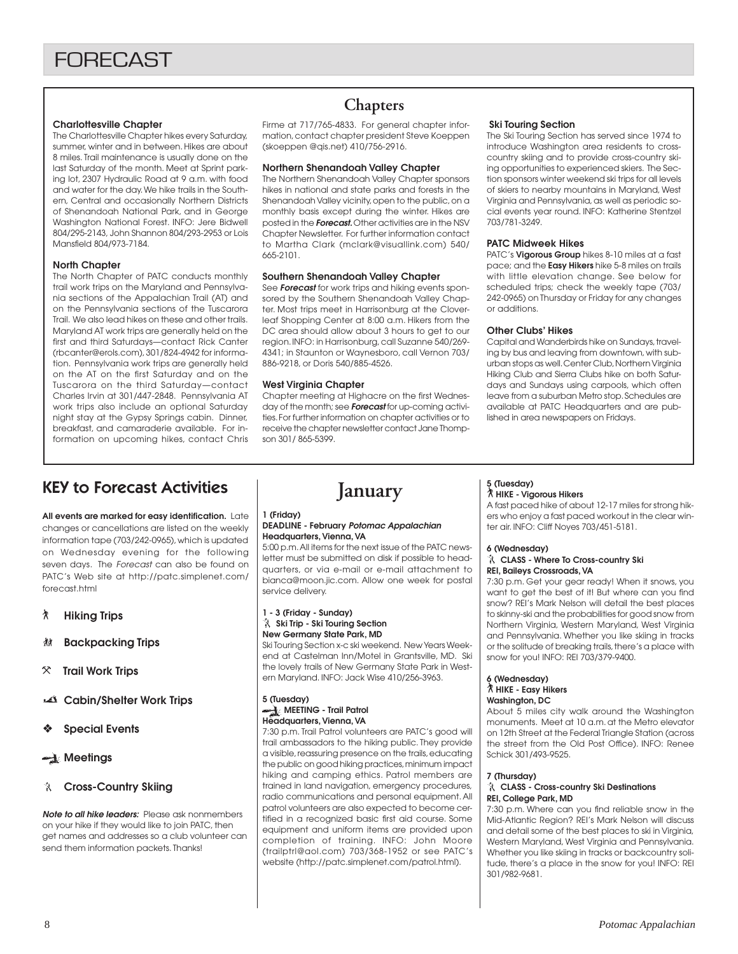### **Charlottesville Chapter**

The Charlottesville Chapter hikes every Saturday, summer, winter and in between. Hikes are about 8 miles. Trail maintenance is usually done on the last Saturday of the month. Meet at Sprint parking lot, 2307 Hydraulic Road at 9 a.m. with food and water for the day. We hike trails in the Southern, Central and occasionally Northern Districts of Shenandoah National Park, and in George Washington National Forest. INFO: Jere Bidwell 804/295-2143, John Shannon 804/293-2953 or Lois Mansfield 804/973-7184.

### **North Chapter**

The North Chapter of PATC conducts monthly trail work trips on the Maryland and Pennsylvania sections of the Appalachian Trail (AT) and on the Pennsylvania sections of the Tuscarora Trail. We also lead hikes on these and other trails. Maryland AT work trips are generally held on the first and third Saturdays—contact Rick Canter (rbcanter@erols.com), 301/824-4942 for information. Pennsylvania work trips are generally held on the AT on the first Saturday and on the Tuscarora on the third Saturday—contact Charles Irvin at 301/447-2848. Pennsylvania AT work trips also include an optional Saturday night stay at the Gypsy Springs cabin. Dinner, breakfast, and camaraderie available. For information on upcoming hikes, contact Chris

## **Chapters**

Firme at 717/765-4833. For general chapter information, contact chapter president Steve Koeppen (skoeppen @qis.net) 410/756-2916.

### **Northern Shenandoah Valley Chapter**

The Northern Shenandoah Valley Chapter sponsors hikes in national and state parks and forests in the Shenandoah Valley vicinity, open to the public, on a monthly basis except during the winter. Hikes are posted in the **Forecast.** Other activities are in the NSV Chapter Newsletter. For further information contact to Martha Clark (mclark@visuallink.com) 540/ 665-2101.

### **Southern Shenandoah Valley Chapter**

See **Forecast** for work trips and hiking events sponsored by the Southern Shenandoah Valley Chapter. Most trips meet in Harrisonburg at the Cloverleaf Shopping Center at 8:00 a.m. Hikers from the DC area should allow about 3 hours to get to our region. INFO: in Harrisonburg, call Suzanne 540/269- 4341; in Staunton or Waynesboro, call Vernon 703/ 886-9218, or Doris 540/885-4526.

### **West Virginia Chapter**

Chapter meeting at Highacre on the first Wednesday of the month; see **Forecast** for up-coming activities. For further information on chapter activities or to receive the chapter newsletter contact Jane Thompson 301/ 865-5399.

### **Ski Touring Section**

The Ski Touring Section has served since 1974 to introduce Washington area residents to crosscountry skiing and to provide cross-country skiing opportunities to experienced skiers. The Section sponsors winter weekend ski trips for all levels of skiers to nearby mountains in Maryland, West Virginia and Pennsylvania, as well as periodic social events year round. INFO: Katherine Stentzel 703/781-3249.

### **PATC Midweek Hikes**

PATC's **Vigorous Group** hikes 8-10 miles at a fast pace; and the **Easy Hikers** hike 5-8 miles on trails with little elevation change. See below for scheduled trips; check the weekly tape (703/ 242-0965) on Thursday or Friday for any changes or additions.

### **Other Clubs' Hikes**

Capital and Wanderbirds hike on Sundays, traveling by bus and leaving from downtown, with suburban stops as well. Center Club, Northern Virginia Hiking Club and Sierra Clubs hike on both Saturdays and Sundays using carpools, which often leave from a suburban Metro stop. Schedules are available at PATC Headquarters and are published in area newspapers on Fridays.

## KEY to Forecast Activities

**All events are marked for easy identification.** Late changes or cancellations are listed on the weekly information tape (703/242-0965), which is updated on Wednesday evening for the following seven days. The Forecast can also be found on PATC's Web site at http://patc.simplenet.com/ forecast.html

- ` **Hiking Trips**
- F **Backpacking Trips**
- } **Trail Work Trips**
- **Cabin/Shelter Work Trips**
- ❖ **Special Events**
- **Meetings**

### **Cross-Country Skiing**

**Note to all hike leaders:** Please ask nonmembers on your hike if they would like to join PATC, then get names and addresses so a club volunteer can send them information packets. Thanks!

## **January**

### **1 (Friday)**

### **DEADLINE - February Potomac Appalachian Headquarters, Vienna, VA**

5:00 p.m. All items for the next issue of the PATC newsletter must be submitted on disk if possible to headquarters, or via e-mail or e-mail attachment to bianca@moon.jic.com. Allow one week for postal service delivery.

### **1 - 3 (Friday - Sunday) Ski Trip - Ski Touring Section New Germany State Park, MD**

Ski Touring Section x-c ski weekend. New Years Weekend at Castelman Inn/Motel in Grantsville, MD. Ski the lovely trails of New Germany State Park in Western Maryland. INFO: Jack Wise 410/256-3963.

### **5 (Tuesday) MEETING - Trail Patrol Headquarters, Vienna, VA**

7:30 p.m. Trail Patrol volunteers are PATC's good will trail ambassadors to the hiking public. They provide a visible, reassuring presence on the trails, educating the public on good hiking practices, minimum impact hiking and camping ethics. Patrol members are trained in land navigation, emergency procedures, radio communications and personal equipment. All patrol volunteers are also expected to become certified in a recognized basic first aid course. Some equipment and uniform items are provided upon completion of training. INFO: John Moore (trailptrl@aol.com) 703/368-1952 or see PATC's website (http://patc.simplenet.com/patrol.html).

### **5 (Tuesday)** ` **HIKE - Vigorous Hikers**

A fast paced hike of about 12-17 miles for strong hikers who enjoy a fast paced workout in the clear winter air. INFO: Cliff Noyes 703/451-5181.

### **6 (Wednesday)**

### **CLASS - Where To Cross-country Ski REI, Baileys Crossroads, VA**

7:30 p.m. Get your gear ready! When it snows, you want to get the best of it! But where can you find snow? REI's Mark Nelson will detail the best places to skinny-ski and the probabilities for good snow from Northern Virginia, Western Maryland, West Virginia and Pennsylvania. Whether you like skiing in tracks or the solitude of breaking trails, there's a place with snow for you! INFO: REI 703/379-9400.

### **6 (Wednesday)** ` **HIKE - Easy Hikers Washington, DC**

About 5 miles city walk around the Washington monuments. Meet at 10 a.m. at the Metro elevator on 12th Street at the Federal Triangle Station (across the street from the Old Post Office). INFO: Renee Schick 301/493-9525.

### **7 (Thursday)**

### **CLASS - Cross-country Ski Destinations REI, College Park, MD**

7:30 p.m. Where can you find reliable snow in the Mid-Atlantic Region? REI's Mark Nelson will discuss and detail some of the best places to ski in Virginia, Western Maryland, West Virginia and Pennsylvania. Whether you like skiing in tracks or backcountry solitude, there's a place in the snow for you! INFO: REI 301/982-9681.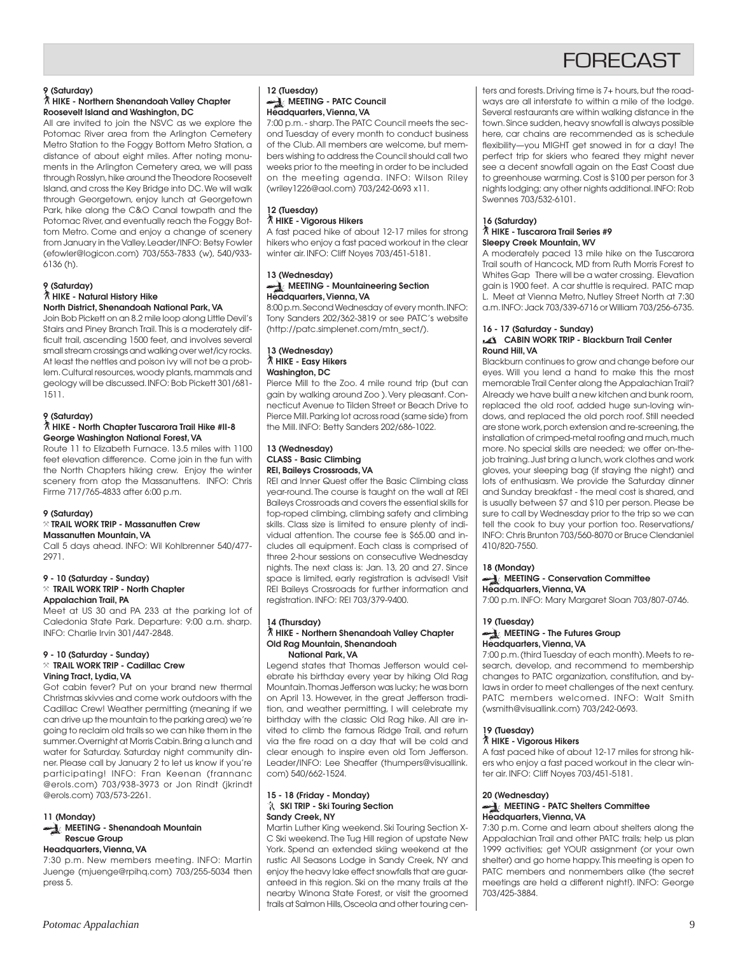## **FORFCAST**

### **9 (Saturday)**

### ` **HIKE - Northern Shenandoah Valley Chapter Roosevelt Island and Washington, DC**

All are invited to join the NSVC as we explore the Potomac River area from the Arlington Cemetery Metro Station to the Foggy Bottom Metro Station, a distance of about eight miles. After noting monuments in the Arlington Cemetery area, we will pass through Rosslyn, hike around the Theodore Roosevelt Island, and cross the Key Bridge into DC. We will walk through Georgetown, enjoy lunch at Georgetown Park, hike along the C&O Canal towpath and the Potomac River, and eventually reach the Foggy Bottom Metro. Come and enjoy a change of scenery from January in the Valley. Leader/INFO: Betsy Fowler (efowler@logicon.com) 703/553-7833 (w), 540/933- 6136 (h).

#### **9 (Saturday)** ` **HIKE - Natural History Hike North District, Shenandoah National Park, VA**

Join Bob Pickett on an 8.2 mile loop along Little Devil's Stairs and Piney Branch Trail. This is a moderately difficult trail, ascending 1500 feet, and involves several small stream crossings and walking over wet/icy rocks. At least the nettles and poison ivy will not be a problem. Cultural resources, woody plants, mammals and geology will be discussed. INFO: Bob Pickett 301/681- 1511.

### **9 (Saturday)**

### ` **HIKE - North Chapter Tuscarora Trail Hike #II-8 George Washington National Forest, VA**

Route 11 to Elizabeth Furnace. 13.5 miles with 1100 feet elevation difference. Come join in the fun with the North Chapters hiking crew. Enjoy the winter scenery from atop the Massanuttens. INFO: Chris Firme 717/765-4833 after 6:00 p.m.

### **9 (Saturday)**

#### } **TRAIL WORK TRIP - Massanutten Crew Massanutten Mountain, VA**

Call 5 days ahead. INFO: Wil Kohlbrenner 540/477- 2971.

### **9 - 10 (Saturday - Sunday)** } **TRAIL WORK TRIP - North Chapter Appalachian Trail, PA**

Meet at US 30 and PA 233 at the parking lot of Caledonia State Park. Departure: 9:00 a.m. sharp. INFO: Charlie Irvin 301/447-2848.

### **9 - 10 (Saturday - Sunday)** } **TRAIL WORK TRIP - Cadillac Crew Vining Tract, Lydia, VA**

Got cabin fever? Put on your brand new thermal Christmas skivvies and come work outdoors with the Cadillac Crew! Weather permitting (meaning if we can drive up the mountain to the parking area) we're going to reclaim old trails so we can hike them in the summer. Overnight at Morris Cabin. Bring a lunch and water for Saturday. Saturday night community dinner. Please call by January 2 to let us know if you're participating! INFO: Fran Keenan (frannanc @erols.com) 703/938-3973 or Jon Rindt (jkrindt @erols.com) 703/573-2261.

### **11 (Monday) MEETING - Shenandoah Mountain Rescue Group**

### **Headquarters, Vienna, VA**

7:30 p.m. New members meeting. INFO: Martin Juenge (mjuenge@rpihq.com) 703/255-5034 then press 5.

### **12 (Tuesday) MEETING - PATC Council Headquarters, Vienna, VA**

7:00 p.m. - sharp. The PATC Council meets the second Tuesday of every month to conduct business of the Club. All members are welcome, but members wishing to address the Council should call two weeks prior to the meeting in order to be included on the meeting agenda. INFO: Wilson Riley (wriley1226@aol.com) 703/242-0693 x11.

### **12 (Tuesday)** ` **HIKE - Vigorous Hikers**

A fast paced hike of about 12-17 miles for strong hikers who enjoy a fast paced workout in the clear winter air. INFO: Cliff Noyes 703/451-5181.

#### **13 (Wednesday) MEETING - Mountaineering Section Headquarters, Vienna, VA**

8:00 p.m. Second Wednesday of every month. INFO: Tony Sanders 202/362-3819 or see PATC's website (http://patc.simplenet.com/mtn\_sect/).

### **13 (Wednesday)** ` **HIKE - Easy Hikers Washington, DC**

Pierce Mill to the Zoo. 4 mile round trip (but can gain by walking around Zoo ). Very pleasant. Connecticut Avenue to Tilden Street or Beach Drive to Pierce Mill. Parking lot across road (same side) from the Mill. INFO: Betty Sanders 202/686-1022.

### **13 (Wednesday) CLASS - Basic Climbing REI, Baileys Crossroads, VA**

REI and Inner Quest offer the Basic Climbing class year-round. The course is taught on the wall at REI Baileys Crossroads and covers the essential skills for top-roped climbing, climbing safety and climbing skills. Class size is limited to ensure plenty of individual attention. The course fee is \$65.00 and includes all equipment. Each class is comprised of three 2-hour sessions on consecutive Wednesday nights. The next class is: Jan. 13, 20 and 27. Since space is limited, early registration is advised! Visit REI Baileys Crossroads for further information and registration. INFO: REI 703/379-9400.

#### **14 (Thursday)** ` **HIKE - Northern Shenandoah Valley Chapter Old Rag Mountain, Shenandoah National Park, VA**

Legend states that Thomas Jefferson would celebrate his birthday every year by hiking Old Rag Mountain. Thomas Jefferson was lucky; he was born on April 13. However, in the great Jefferson tradition, and weather permitting, I will celebrate my birthday with the classic Old Rag hike. All are invited to climb the famous Ridge Trail, and return via the fire road on a day that will be cold and clear enough to inspire even old Tom Jefferson. Leader/INFO: Lee Sheaffer (thumpers@visuallink. com) 540/662-1524.

### **15 - 18 (Friday - Monday) SKI TRIP - Ski Touring Section Sandy Creek, NY**

Martin Luther King weekend. Ski Touring Section X-C Ski weekend. The Tug Hill region of upstate New York. Spend an extended skiing weekend at the rustic All Seasons Lodge in Sandy Creek, NY and enjoy the heavy lake effect snowfalls that are guaranteed in this region. Ski on the many trails at the nearby Winona State Forest, or visit the groomed trails at Salmon Hills, Osceola and other touring centers and forests. Driving time is 7+ hours, but the roadways are all interstate to within a mile of the lodge. Several restaurants are within walking distance in the town. Since sudden, heavy snowfall is always possible here, car chains are recommended as is schedule flexibility—you MIGHT get snowed in for a day! The perfect trip for skiers who feared they might never see a decent snowfall again on the East Coast due to greenhouse warming. Cost is \$100 per person for 3 nights lodging; any other nights additional. INFO: Rob Swennes 703/532-6101.

### **16 (Saturday)**

#### ` **HIKE - Tuscarora Trail Series #9 Sleepy Creek Mountain, WV**

A moderately paced 13 mile hike on the Tuscarora Trail south of Hancock, MD from Ruth Morris Forest to Whites Gap There will be a water crossing. Elevation gain is 1900 feet. A car shuttle is required. PATC map L. Meet at Vienna Metro, Nutley Street North at 7:30 a.m. INFO: Jack 703/339-6716 or William 703/256-6735.

### **16 - 17 (Saturday - Sunday) CABIN WORK TRIP - Blackburn Trail Center Round Hill, VA**

Blackburn continues to grow and change before our eyes. Will you lend a hand to make this the most memorable Trail Center along the Appalachian Trail? Already we have built a new kitchen and bunk room, replaced the old roof, added huge sun-loving windows, and replaced the old porch roof. Still needed are stone work, porch extension and re-screening, the installation of crimped-metal roofing and much, much more. No special skills are needed; we offer on-thejob training. Just bring a lunch, work clothes and work gloves, your sleeping bag (if staying the night) and lots of enthusiasm. We provide the Saturday dinner and Sunday breakfast - the meal cost is shared, and is usually between \$7 and \$10 per person. Please be sure to call by Wednesday prior to the trip so we can tell the cook to buy your portion too. Reservations/ INFO: Chris Brunton 703/560-8070 or Bruce Clendaniel 410/820-7550.

### **18 (Monday)**

### **MEETING - Conservation Committee Headquarters, Vienna, VA**

7:00 p.m. INFO: Mary Margaret Sloan 703/807-0746.

### **19 (Tuesday) MEETING - The Futures Group Headquarters, Vienna, VA**

7:00 p.m. (third Tuesday of each month). Meets to research, develop, and recommend to membership changes to PATC organization, constitution, and bylaws in order to meet challenges of the next century. PATC members welcomed. INFO: Walt Smith (wsmith@visuallink.com) 703/242-0693.

### **19 (Tuesday)**

### ` **HIKE - Vigorous Hikers**

A fast paced hike of about 12-17 miles for strong hikers who enjoy a fast paced workout in the clear winter air. INFO: Cliff Noyes 703/451-5181.

### **20 (Wednesday)**

### **MEETING - PATC Shelters Committee Headquarters, Vienna, VA**

7:30 p.m. Come and learn about shelters along the Appalachian Trail and other PATC trails; help us plan 1999 activities; get YOUR assignment (or your own shelter) and go home happy. This meeting is open to PATC members and nonmembers alike (the secret meetings are held a different night!). INFO: George 703/425-3884.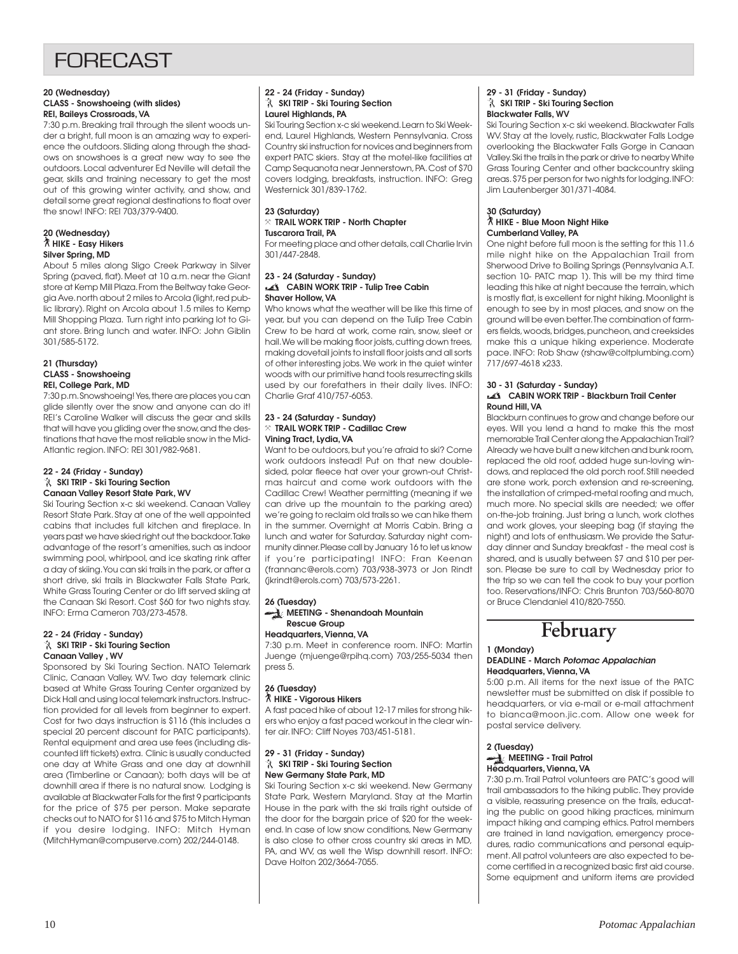## **FORFCAST**

#### **20 (Wednesday) CLASS - Snowshoeing (with slides) REI, Baileys Crossroads, VA**

7:30 p.m. Breaking trail through the silent woods under a bright, full moon is an amazing way to experience the outdoors. Sliding along through the shadows on snowshoes is a great new way to see the outdoors. Local adventurer Ed Neville will detail the gear, skills and training necessary to get the most out of this growing winter activity, and show, and detail some great regional destinations to float over the snow! INFO: REI 703/379-9400.

#### **20 (Wednesday)** ` **HIKE - Easy Hikers Silver Spring, MD**

About 5 miles along Sligo Creek Parkway in Silver Spring (paved, flat). Meet at 10 a.m. near the Giant store at Kemp Mill Plaza. From the Beltway take Georgia Ave. north about 2 miles to Arcola (light, red public library). Right on Arcola about 1.5 miles to Kemp Mill Shopping Plaza. Turn right into parking lot to Giant store. Bring lunch and water. INFO: John Giblin 301/585-5172.

### **21 (Thursday) CLASS - Snowshoeing REI, College Park, MD**

7:30 p.m. Snowshoeing! Yes, there are places you can glide silently over the snow and anyone can do it! REI's Caroline Walker will discuss the gear and skills that will have you gliding over the snow, and the destinations that have the most reliable snow in the Mid-Atlantic region. INFO: REI 301/982-9681.

#### **22 - 24 (Friday - Sunday) SKI TRIP - Ski Touring Section Canaan Valley Resort State Park, WV**

Ski Touring Section x-c ski weekend. Canaan Valley Resort State Park. Stay at one of the well appointed cabins that includes full kitchen and fireplace. In years past we have skied right out the backdoor. Take advantage of the resort's amenities, such as indoor swimming pool, whirlpool, and ice skating rink after a day of skiing. You can ski trails in the park, or after a short drive, ski trails in Blackwater Falls State Park, White Grass Touring Center or do lift served skiing at the Canaan Ski Resort. Cost \$60 for two nights stay. INFO: Erma Cameron 703/273-4578.

#### **22 - 24 (Friday - Sunday) SKI TRIP - Ski Touring Section Canaan Valley , WV**

Sponsored by Ski Touring Section. NATO Telemark Clinic, Canaan Valley, WV. Two day telemark clinic based at White Grass Touring Center organized by Dick Hall and using local telemark instructors. Instruction provided for all levels from beginner to expert. Cost for two days instruction is \$116 (this includes a special 20 percent discount for PATC participants). Rental equipment and area use fees (including discounted lift tickets) extra. Clinic is usually conducted one day at White Grass and one day at downhill area (Timberline or Canaan); both days will be at downhill area if there is no natural snow. Lodging is available at Blackwater Falls for the first 9 participants for the price of \$75 per person. Make separate checks out to NATO for \$116 and \$75 to Mitch Hyman if you desire lodging. INFO: Mitch Hyman (MitchHyman@compuserve.com) 202/244-0148.

### **22 - 24 (Friday - Sunday) SKI TRIP - Ski Touring Section Laurel Highlands, PA**

Ski Touring Section x-c ski weekend. Learn to Ski Weekend, Laurel Highlands, Western Pennsylvania. Cross Country ski instruction for novices and beginners from expert PATC skiers. Stay at the motel-like facilities at Camp Sequanota near Jennerstown, PA. Cost of \$70 covers lodging, breakfasts, instruction. INFO: Greg Westernick 301/839-1762.

### **23 (Saturday)** } **TRAIL WORK TRIP - North Chapter Tuscarora Trail, PA**

For meeting place and other details, call Charlie Irvin 301/447-2848.

#### **23 - 24 (Saturday - Sunday) CABIN WORK TRIP - Tulip Tree Cabin Shaver Hollow, VA**

Who knows what the weather will be like this time of year, but you can depend on the Tulip Tree Cabin Crew to be hard at work, come rain, snow, sleet or hail. We will be making floor joists, cutting down trees, making dovetail joints to install floor joists and all sorts of other interesting jobs. We work in the quiet winter woods with our primitive hand tools resurrecting skills used by our forefathers in their daily lives. INFO: Charlie Graf 410/757-6053.

### **23 - 24 (Saturday - Sunday)** } **TRAIL WORK TRIP - Cadillac Crew Vining Tract, Lydia, VA**

Want to be outdoors, but you're afraid to ski? Come work outdoors instead! Put on that new doublesided, polar fleece hat over your grown-out Christmas haircut and come work outdoors with the Cadillac Crew! Weather permitting (meaning if we can drive up the mountain to the parking area) we're going to reclaim old trails so we can hike them in the summer. Overnight at Morris Cabin. Bring a lunch and water for Saturday. Saturday night community dinner. Please call by January 16 to let us know if you're participating! INFO: Fran Keenan (frannanc@erols.com) 703/938-3973 or Jon Rindt (jkrindt@erols.com) 703/573-2261.

### **26 (Tuesday) MEETING - Shenandoah Mountain Rescue Group**

### **Headquarters, Vienna, VA**

7:30 p.m. Meet in conference room. INFO: Martin Juenge (mjuenge@rpihq.com) 703/255-5034 then press 5.

### **26 (Tuesday)** ` **HIKE - Vigorous Hikers**

A fast paced hike of about 12-17 miles for strong hikers who enjoy a fast paced workout in the clear winter air. INFO: Cliff Noyes 703/451-5181.

#### **29 - 31 (Friday - Sunday) SKI TRIP - Ski Touring Section New Germany State Park, MD**

Ski Touring Section x-c ski weekend. New Germany State Park, Western Maryland. Stay at the Martin House in the park with the ski trails right outside of the door for the bargain price of \$20 for the weekend. In case of low snow conditions, New Germany is also close to other cross country ski areas in MD, PA, and WV, as well the Wisp downhill resort. INFO: Dave Holton 202/3664-7055.

### **29 - 31 (Friday - Sunday) SKI TRIP - Ski Touring Section Blackwater Falls, WV**

Ski Touring Section x-c ski weekend. Blackwater Falls WV. Stay at the lovely, rustic, Blackwater Falls Lodge overlooking the Blackwater Falls Gorge in Canaan Valley. Ski the trails in the park or drive to nearby White Grass Touring Center and other backcountry skiing areas. \$75 per person for two nights for lodging. INFO: Jim Lautenberger 301/371-4084.

### **30 (Saturday)** ` **HIKE - Blue Moon Night Hike Cumberland Valley, PA**

One night before full moon is the setting for this 11.6 mile night hike on the Appalachian Trail from Sherwood Drive to Boiling Springs (Pennsylvania A.T. section 10- PATC map 1). This will be my third time leading this hike at night because the terrain, which is mostly flat, is excellent for night hiking. Moonlight is enough to see by in most places, and snow on the ground will be even better. The combination of farmers fields, woods, bridges, puncheon, and creeksides make this a unique hiking experience. Moderate pace. INFO: Rob Shaw (rshaw@coltplumbing.com) 717/697-4618 x233.

#### **30 - 31 (Saturday - Sunday) CABIN WORK TRIP - Blackburn Trail Center Round Hill, VA**

Blackburn continues to grow and change before our eyes. Will you lend a hand to make this the most memorable Trail Center along the Appalachian Trail? Already we have built a new kitchen and bunk room, replaced the old roof, added huge sun-loving windows, and replaced the old porch roof. Still needed are stone work, porch extension and re-screening, the installation of crimped-metal roofing and much, much more. No special skills are needed; we offer on-the-job training. Just bring a lunch, work clothes and work gloves, your sleeping bag (if staying the night) and lots of enthusiasm. We provide the Saturday dinner and Sunday breakfast - the meal cost is shared, and is usually between \$7 and \$10 per person. Please be sure to call by Wednesday prior to the trip so we can tell the cook to buy your portion too. Reservations/INFO: Chris Brunton 703/560-8070 or Bruce Clendaniel 410/820-7550.

## **February**

#### **1 (Monday) DEADLINE - March Potomac Appalachian Headquarters, Vienna, VA**

5:00 p.m. All items for the next issue of the PATC newsletter must be submitted on disk if possible to headquarters, or via e-mail or e-mail attachment to bianca@moon.jic.com. Allow one week for postal service delivery.

### **2 (Tuesday) MEETING - Trail Patrol Headquarters, Vienna, VA**

7:30 p.m. Trail Patrol volunteers are PATC's good will trail ambassadors to the hiking public. They provide a visible, reassuring presence on the trails, educating the public on good hiking practices, minimum impact hiking and camping ethics. Patrol members are trained in land navigation, emergency procedures, radio communications and personal equipment. All patrol volunteers are also expected to become certified in a recognized basic first aid course. Some equipment and uniform items are provided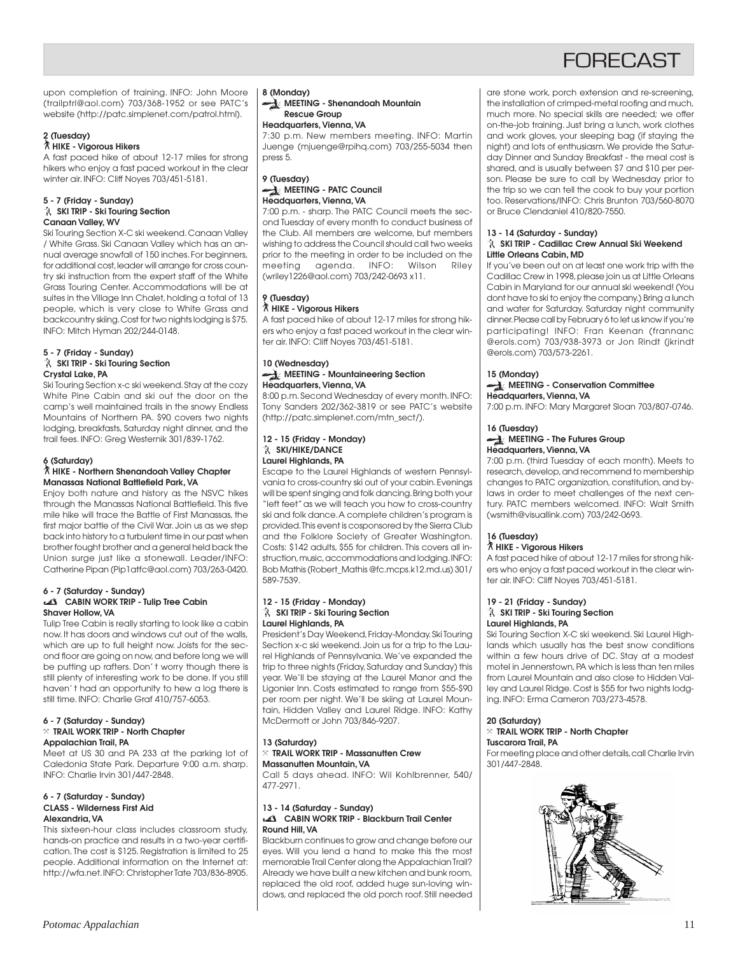## **FORFCAST**

upon completion of training. INFO: John Moore (trailptrl@aol.com) 703/368-1952 or see PATC's website (http://patc.simplenet.com/patrol.html).

### **2 (Tuesday)**

### ` **HIKE - Vigorous Hikers**

A fast paced hike of about 12-17 miles for strong hikers who enjoy a fast paced workout in the clear winter air. INFO: Cliff Noyes 703/451-5181.

### **5 - 7 (Friday - Sunday) SKI TRIP - Ski Touring Section Canaan Valley, WV**

Ski Touring Section X-C ski weekend. Canaan Valley / White Grass. Ski Canaan Valley which has an annual average snowfall of 150 inches. For beginners, for additional cost, leader will arrange for cross country ski instruction from the expert staff of the White Grass Touring Center. Accommodations will be at suites in the Village Inn Chalet, holding a total of 13 people, which is very close to White Grass and backcountry skiing. Cost for two nights lodging is \$75. INFO: Mitch Hyman 202/244-0148.

### **5 - 7 (Friday - Sunday) SKI TRIP - Ski Touring Section Crystal Lake, PA**

Ski Touring Section x-c ski weekend. Stay at the cozy White Pine Cabin and ski out the door on the camp's well maintained trails in the snowy Endless Mountains of Northern PA. \$90 covers two nights lodging, breakfasts, Saturday night dinner, and the trail fees. INFO: Greg Westernik 301/839-1762.

### **6 (Saturday)**

### ` **HIKE - Northern Shenandoah Valley Chapter Manassas National Battlefield Park, VA**

Enjoy both nature and history as the NSVC hikes through the Manassas National Battlefield. This five mile hike will trace the Battle of First Manassas, the first major battle of the Civil War. Join us as we step back into history to a turbulent time in our past when brother fought brother and a general held back the Union surge just like a stonewall. Leader/INFO: Catherine Pipan (Pip1atfc@aol.com) 703/263-0420.

#### **6 - 7 (Saturday - Sunday) CABIN WORK TRIP - Tulip Tree Cabin Shaver Hollow, VA**

Tulip Tree Cabin is really starting to look like a cabin now. It has doors and windows cut out of the walls, which are up to full height now. Joists for the second floor are going on now, and before long we will be putting up rafters. Don' t worry though there is still plenty of interesting work to be done. If you still haven' t had an opportunity to hew a log there is still time. INFO: Charlie Graf 410/757-6053.

#### **6 - 7 (Saturday - Sunday)** } **TRAIL WORK TRIP - North Chapter Appalachian Trail, PA**

Meet at US 30 and PA 233 at the parking lot of Caledonia State Park. Departure 9:00 a.m. sharp. INFO: Charlie Irvin 301/447-2848.

#### **6 - 7 (Saturday - Sunday) CLASS - Wilderness First Aid Alexandria, VA**

This sixteen-hour class includes classroom study, hands-on practice and results in a two-year certification. The cost is \$125. Registration is limited to 25 people. Additional information on the Internet at: http://wfa.net. INFO: Christopher Tate 703/836-8905.

### **8 (Monday)**

**MEETING - Shenandoah Mountain Rescue Group**

### **Headquarters, Vienna, VA**

7:30 p.m. New members meeting. INFO: Martin Juenge (mjuenge@rpihq.com) 703/255-5034 then press 5.

### **9 (Tuesday) MEETING - PATC Council Headquarters, Vienna, VA**

7:00 p.m. - sharp. The PATC Council meets the second Tuesday of every month to conduct business of the Club. All members are welcome, but members wishing to address the Council should call two weeks prior to the meeting in order to be included on the meeting agenda. INFO: Wilson Riley (wriley1226@aol.com) 703/242-0693 x11.

### **9 (Tuesday)**

### ` **HIKE - Vigorous Hikers**

A fast paced hike of about 12-17 miles for strong hikers who enjoy a fast paced workout in the clear winter air. INFO: Cliff Noyes 703/451-5181.

### **10 (Wednesday) MEETING - Mountaineering Section Headquarters, Vienna, VA**

8:00 p.m. Second Wednesday of every month. INFO: Tony Sanders 202/362-3819 or see PATC's website (http://patc.simplenet.com/mtn\_sect/).

### **12 - 15 (Friday - Monday)** *<b>X* SKI/HIKE/DANCE **Laurel Highlands, PA**

Escape to the Laurel Highlands of western Pennsylvania to cross-country ski out of your cabin. Evenings will be spent singing and folk dancing. Bring both your "left feet" as we will teach you how to cross-country ski and folk dance. A complete children's program is provided. This event is cosponsored by the Sierra Club and the Folklore Society of Greater Washington. Costs: \$142 adults, \$55 for children. This covers all instruction, music, accommodations and lodging. INFO: Bob Mathis (Robert\_Mathis @fc.mcps.k12.md.us) 301/ 589-7539.

### **12 - 15 (Friday - Monday) SKI TRIP - Ski Touring Section Laurel Highlands, PA**

President's Day Weekend, Friday-Monday. Ski Touring Section x-c ski weekend. Join us for a trip to the Laurel Highlands of Pennsylvania. We've expanded the trip to three nights (Friday, Saturday and Sunday) this year. We'll be staying at the Laurel Manor and the Ligonier Inn. Costs estimated to range from \$55-\$90 per room per night. We'll be skiing at Laurel Mountain, Hidden Valley and Laurel Ridge. INFO: Kathy McDermott or John 703/846-9207.

### **13 (Saturday)** } **TRAIL WORK TRIP - Massanutten Crew Massanutten Mountain, VA**

Call 5 days ahead. INFO: Wil Kohlbrenner, 540/ 477-2971.

#### **13 - 14 (Saturday - Sunday) CABIN WORK TRIP - Blackburn Trail Center Round Hill, VA**

Blackburn continues to grow and change before our eyes. Will you lend a hand to make this the most memorable Trail Center along the Appalachian Trail? Already we have built a new kitchen and bunk room, replaced the old roof, added huge sun-loving windows, and replaced the old porch roof. Still needed are stone work, porch extension and re-screening, the installation of crimped-metal roofing and much, much more. No special skills are needed; we offer on-the-job training. Just bring a lunch, work clothes and work gloves, your sleeping bag (if staying the night) and lots of enthusiasm. We provide the Saturday Dinner and Sunday Breakfast - the meal cost is shared, and is usually between \$7 and \$10 per person. Please be sure to call by Wednesday prior to the trip so we can tell the cook to buy your portion too. Reservations/INFO: Chris Brunton 703/560-8070 or Bruce Clendaniel 410/820-7550.

### **13 - 14 (Saturday - Sunday)**

### **SKI TRIP - Cadillac Crew Annual Ski Weekend Little Orleans Cabin, MD**

If you've been out on at least one work trip with the Cadillac Crew in 1998, please join us at Little Orleans Cabin in Maryland for our annual ski weekend! (You dont have to ski to enjoy the company.) Bring a lunch and water for Saturday. Saturday night community dinner. Please call by February 6 to let us know if you're participating! INFO: Fran Keenan (frannanc @erols.com) 703/938-3973 or Jon Rindt (jkrindt @erols.com) 703/573-2261.

### **15 (Monday)**

### **MEETING - Conservation Committee Headquarters, Vienna, VA**

7:00 p.m. INFO: Mary Margaret Sloan 703/807-0746.

#### **16 (Tuesday) MEETING - The Futures Group Headquarters, Vienna, VA**

7:00 p.m. (third Tuesday of each month). Meets to research, develop, and recommend to membership changes to PATC organization, constitution, and bylaws in order to meet challenges of the next century. PATC members welcomed. INFO: Walt Smith (wsmith@visuallink.com) 703/242-0693.

### **16 (Tuesday)**

### ` **HIKE - Vigorous Hikers**

A fast paced hike of about 12-17 miles for strong hikers who enjoy a fast paced workout in the clear winter air. INFO: Cliff Noyes 703/451-5181.

#### **19 - 21 (Friday - Sunday) SKI TRIP - Ski Touring Section Laurel Highlands, PA**

Ski Touring Section X-C ski weekend. Ski Laurel Highlands which usually has the best snow conditions within a few hours drive of DC. Stay at a modest motel in Jennerstown, PA which is less than ten miles from Laurel Mountain and also close to Hidden Valley and Laurel Ridge. Cost is \$55 for two nights lodging. INFO: Erma Cameron 703/273-4578.

### **20 (Saturday)**

#### } **TRAIL WORK TRIP - North Chapter Tuscarora Trail, PA**

For meeting place and other details, call Charlie Irvin 301/447-2848.

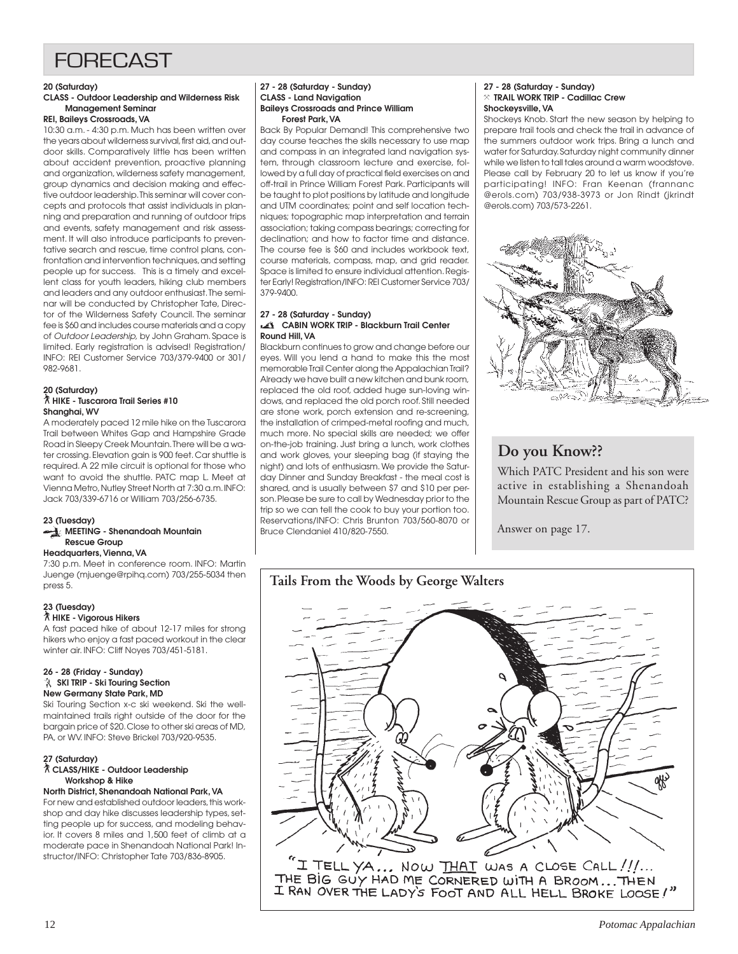## FORECAST

### **20 (Saturday)**

### **CLASS - Outdoor Leadership and Wilderness Risk Management Seminar**

### **REI, Baileys Crossroads, VA**

10:30 a.m. - 4:30 p.m. Much has been written over the years about wilderness survival, first aid, and outdoor skills. Comparatively little has been written about accident prevention, proactive planning and organization, wilderness safety management, group dynamics and decision making and effective outdoor leadership. This seminar will cover concepts and protocols that assist individuals in planning and preparation and running of outdoor trips and events, safety management and risk assessment. It will also introduce participants to preventative search and rescue, time control plans, confrontation and intervention techniques, and setting people up for success. This is a timely and excellent class for youth leaders, hiking club members and leaders and any outdoor enthusiast. The seminar will be conducted by Christopher Tate, Director of the Wilderness Safety Council. The seminar fee is \$60 and includes course materials and a copy of Outdoor Leadership, by John Graham. Space is limited. Early registration is advised! Registration/ INFO: REI Customer Service 703/379-9400 or 301/ 982-9681.

### **20 (Saturday)** ` **HIKE - Tuscarora Trail Series #10 Shanghai, WV**

A moderately paced 12 mile hike on the Tuscarora Trail between Whites Gap and Hampshire Grade Road in Sleepy Creek Mountain. There will be a water crossing. Elevation gain is 900 feet. Car shuttle is required. A 22 mile circuit is optional for those who want to avoid the shuttle. PATC map L. Meet at Vienna Metro, Nutley Street North at 7:30 a.m. INFO: Jack 703/339-6716 or William 703/256-6735.

### **23 (Tuesday)**

### **MEETING - Shenandoah Mountain Rescue Group**

### **Headquarters, Vienna, VA**

7:30 p.m. Meet in conference room. INFO: Martin Juenge (mjuenge@rpihq.com) 703/255-5034 then press 5.

### **23 (Tuesday)**

### ` **HIKE - Vigorous Hikers**

A fast paced hike of about 12-17 miles for strong hikers who enjoy a fast paced workout in the clear winter air. INFO: Cliff Noyes 703/451-5181.

#### **26 - 28 (Friday - Sunday) SKI TRIP - Ski Touring Section New Germany State Park, MD**

Ski Touring Section x-c ski weekend. Ski the wellmaintained trails right outside of the door for the bargain price of \$20. Close to other ski areas of MD, PA, or WV. INFO: Steve Brickel 703/920-9535.

### **27 (Saturday)** ` **CLASS/HIKE - Outdoor Leadership Workshop & Hike**

**North District, Shenandoah National Park, VA** For new and established outdoor leaders, this workshop and day hike discusses leadership types, setting people up for success, and modeling behavior. It covers 8 miles and 1,500 feet of climb at a moderate pace in Shenandoah National Park! Instructor/INFO: Christopher Tate 703/836-8905.

#### **27 - 28 (Saturday - Sunday) CLASS - Land Navigation Baileys Crossroads and Prince William Forest Park, VA**

Back By Popular Demand! This comprehensive two day course teaches the skills necessary to use map and compass in an integrated land navigation system, through classroom lecture and exercise, followed by a full day of practical field exercises on and off-trail in Prince William Forest Park. Participants will be taught to plot positions by latitude and longitude and UTM coordinates; point and self location techniques; topographic map interpretation and terrain association; taking compass bearings; correcting for declination; and how to factor time and distance. The course fee is \$60 and includes workbook text, course materials, compass, map, and grid reader. Space is limited to ensure individual attention. Register Early! Registration/INFO: REI Customer Service 703/ 379-9400.

#### **27 - 28 (Saturday - Sunday) CABIN WORK TRIP - Blackburn Trail Center Round Hill, VA**

Blackburn continues to grow and change before our eyes. Will you lend a hand to make this the most memorable Trail Center along the Appalachian Trail? Already we have built a new kitchen and bunk room, replaced the old roof, added huge sun-loving windows, and replaced the old porch roof. Still needed are stone work, porch extension and re-screening, the installation of crimped-metal roofing and much, much more. No special skills are needed; we offer on-the-job training. Just bring a lunch, work clothes and work gloves, your sleeping bag (if staying the night) and lots of enthusiasm. We provide the Saturday Dinner and Sunday Breakfast - the meal cost is shared, and is usually between \$7 and \$10 per person. Please be sure to call by Wednesday prior to the trip so we can tell the cook to buy your portion too. Reservations/INFO: Chris Brunton 703/560-8070 or Bruce Clendaniel 410/820-7550.

### **27 - 28 (Saturday - Sunday)** } **TRAIL WORK TRIP - Cadillac Crew Shockeysville, VA**

Shockeys Knob. Start the new season by helping to prepare trail tools and check the trail in advance of the summers outdoor work trips. Bring a lunch and water for Saturday. Saturday night community dinner while we listen to tall tales around a warm woodstove. Please call by February 20 to let us know if you're participating! INFO: Fran Keenan (frannanc @erols.com) 703/938-3973 or Jon Rindt (jkrindt @erols.com) 703/573-2261.



## **Do you Know??**

Which PATC President and his son were active in establishing a Shenandoah Mountain Rescue Group as part of PATC?

Answer on page 17.

## **Tails From the Woods by George Walters**



THE BIG GUY HAD ME CORNERED WITH A BROOM...THEN I RAN OVER THE LADY'S FOOT AND ALL HELL BROKE LOOSE!"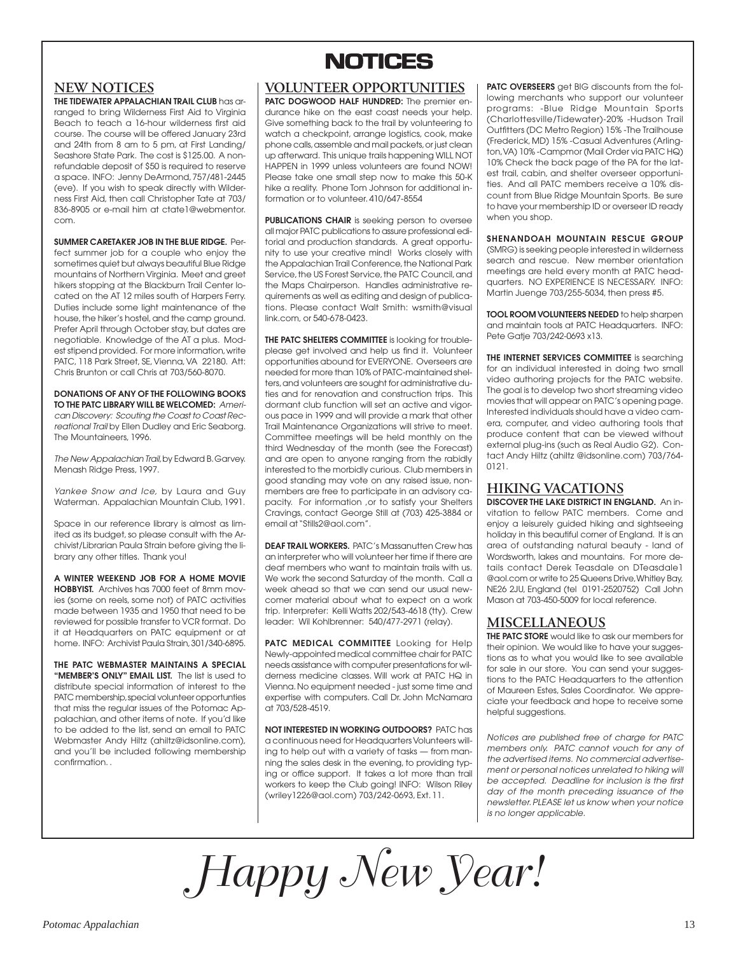### **NEW NOTICES**

**THE TIDEWATER APPALACHIAN TRAIL CLUB** has arranged to bring Wilderness First Aid to Virginia Beach to teach a 16-hour wilderness first aid course. The course will be offered January 23rd and 24th from 8 am to 5 pm, at First Landing/ Seashore State Park. The cost is \$125.00. A nonrefundable deposit of \$50 is required to reserve a space. INFO: Jenny DeArmond, 757/481-2445 (eve). If you wish to speak directly with Wilderness First Aid, then call Christopher Tate at 703/ 836-8905 or e-mail him at ctate1@webmentor. com.

**SUMMER CARETAKER JOB IN THE BLUE RIDGE.** Per-

fect summer job for a couple who enjoy the sometimes quiet but always beautiful Blue Ridge mountains of Northern Virginia. Meet and greet hikers stopping at the Blackburn Trail Center located on the AT 12 miles south of Harpers Ferry. Duties include some light maintenance of the house, the hiker's hostel, and the camp ground. Prefer April through October stay, but dates are negotiable. Knowledge of the AT a plus. Modest stipend provided. For more information, write PATC, 118 Park Street, SE, Vienna, VA 22180. Att: Chris Brunton or call Chris at 703/560-8070.

**DONATIONS OF ANY OF THE FOLLOWING BOOKS TO THE PATC LIBRARY WILL BE WELCOMED:** American Discovery: Scouting the Coast to Coast Recreational Trail by Ellen Dudley and Eric Seaborg. The Mountaineers, 1996.

The New Appalachian Trail, by Edward B. Garvey. Menash Ridge Press, 1997.

Yankee Snow and Ice, by Laura and Guy Waterman. Appalachian Mountain Club, 1991.

Space in our reference library is almost as limited as its budget, so please consult with the Archivist/Librarian Paula Strain before giving the library any other titles. Thank you!

**A WINTER WEEKEND JOB FOR A HOME MOVIE HOBBYIST.** Archives has 7000 feet of 8mm movies (some on reels, some not) of PATC activities made between 1935 and 1950 that need to be reviewed for possible transfer to VCR format. Do it at Headquarters on PATC equipment or at home. INFO: Archivist Paula Strain, 301/340-6895.

**THE PATC WEBMASTER MAINTAINS A SPECIAL "MEMBER'S ONLY" EMAIL LIST.** The list is used to distribute special information of interest to the PATC membership, special volunteer opportunties that miss the regular issues of the Potomac Appalachian, and other items of note. If you'd like to be added to the list, send an email to PATC Webmaster Andy Hiltz (ahiltz@idsonline.com), and you'll be included following membership confirmation. .

## **NOTICES NOTICES**

### **VOLUNTEER OPPORTUNITIES**

PATC DOGWOOD HALF HUNDRED: The premier endurance hike on the east coast needs your help. Give something back to the trail by volunteering to watch a checkpoint, arrange logistics, cook, make phone calls, assemble and mail packets, or just clean up afterward. This unique trails happening WILL NOT HAPPEN in 1999 unless volunteers are found NOW! Please take one small step now to make this 50-K hike a reality. Phone Tom Johnson for additional information or to volunteer. 410/647-8554

**PUBLICATIONS CHAIR** is seeking person to oversee all major PATC publications to assure professional editorial and production standards. A great opportunity to use your creative mind! Works closely with the Appalachian Trail Conference, the National Park Service, the US Forest Service, the PATC Council, and the Maps Chairperson. Handles administrative requirements as well as editing and design of publications. Please contact Walt Smith: wsmith@visual link.com, or 540-678-0423.

**THE PATC SHELTERS COMMITTEE** is looking for troubleplease get involved and help us find it. Volunteer opportunities abound for EVERYONE. Overseers are needed for more than 10% of PATC-maintained shelters, and volunteers are sought for administrative duties and for renovation and construction trips. This dormant club function will set an active and vigorous pace in 1999 and will provide a mark that other Trail Maintenance Organizations will strive to meet. Committee meetings will be held monthly on the third Wednesday of the month (see the Forecast) and are open to anyone ranging from the rabidly interested to the morbidly curious. Club members in good standing may vote on any raised issue, nonmembers are free to participate in an advisory capacity. For information ,or to satisfy your Shelters Cravings, contact George Still at (703) 425-3884 or email at "Stills2@aol.com".

**DEAF TRAIL WORKERS.** PATC's Massanutten Crew has an interpreter who will volunteer her time if there are deaf members who want to maintain trails with us. We work the second Saturday of the month. Call a week ahead so that we can send our usual newcomer material about what to expect on a work trip. Interpreter: Kelli Watts 202/543-4618 (tty). Crew leader: Wil Kohlbrenner: 540/477-2971 (relay).

**PATC MEDICAL COMMITTEE** Looking for Help Newly-appointed medical committee chair for PATC needs assistance with computer presentations for wilderness medicine classes. Will work at PATC HQ in Vienna. No equipment needed - just some time and expertise with computers. Call Dr. John McNamara at 703/528-4519.

**NOT INTERESTED IN WORKING OUTDOORS?** PATC has a continuous need for Headquarters Volunteers willing to help out with a variety of tasks — from manning the sales desk in the evening, to providing typing or office support. It takes a lot more than trail workers to keep the Club going! INFO: Wilson Riley (wriley1226@aol.com) 703/242-0693, Ext. 11.

**PATC OVERSEERS** get BIG discounts from the following merchants who support our volunteer programs: -Blue Ridge Mountain Sports (Charlottesville/Tidewater)-20% -Hudson Trail Outfitters (DC Metro Region) 15% -The Trailhouse (Frederick, MD) 15% -Casual Adventures (Arlington, VA) 10% -Campmor (Mail Order via PATC HQ) 10% Check the back page of the PA for the latest trail, cabin, and shelter overseer opportunities. And all PATC members receive a 10% discount from Blue Ridge Mountain Sports. Be sure to have your membership ID or overseer ID ready when you shop.

**SHENANDOAH MOUNTAIN RESCUE GROUP** (SMRG) is seeking people interested in wilderness search and rescue. New member orientation meetings are held every month at PATC headquarters. NO EXPERIENCE IS NECESSARY. INFO: Martin Juenge 703/255-5034, then press #5.

**TOOL ROOM VOLUNTEERS NEEDED** to help sharpen and maintain tools at PATC Headquarters. INFO: Pete Gatje 703/242-0693 x13.

**THE INTERNET SERVICES COMMITTEE** is searching for an individual interested in doing two small video authoring projects for the PATC website. The goal is to develop two short streaming video movies that will appear on PATC's opening page. Interested individuals should have a video camera, computer, and video authoring tools that produce content that can be viewed without external plug-ins (such as Real Audio G2). Contact Andy Hiltz (ahiltz @idsonline.com) 703/764- 0121.

### **HIKING VACATIONS**

**DISCOVER THE LAKE DISTRICT IN ENGLAND.** An invitation to fellow PATC members. Come and enjoy a leisurely guided hiking and sightseeing holiday in this beautiful corner of England. It is an area of outstanding natural beauty - land of Wordsworth, lakes and mountains. For more details contact Derek Teasdale on DTeasdale1 @aol.com or write to 25 Queens Drive, Whitley Bay, NE26 2JU, England (tel 0191-2520752) Call John Mason at 703-450-5009 for local reference.

### **MISCELLANEOUS**

**THE PATC STORE** would like to ask our members for their opinion. We would like to have your suggestions as to what you would like to see available for sale in our store. You can send your suggestions to the PATC Headquarters to the attention of Maureen Estes, Sales Coordinator. We appreciate your feedback and hope to receive some helpful suggestions.

Notices are published free of charge for PATC members only. PATC cannot vouch for any of the advertised items. No commercial advertisement or personal notices unrelated to hiking will be accepted. Deadline for inclusion is the first day of the month preceding issuance of the newsletter. PLEASE let us know when your notice is no longer applicable.

*Happy New Year!*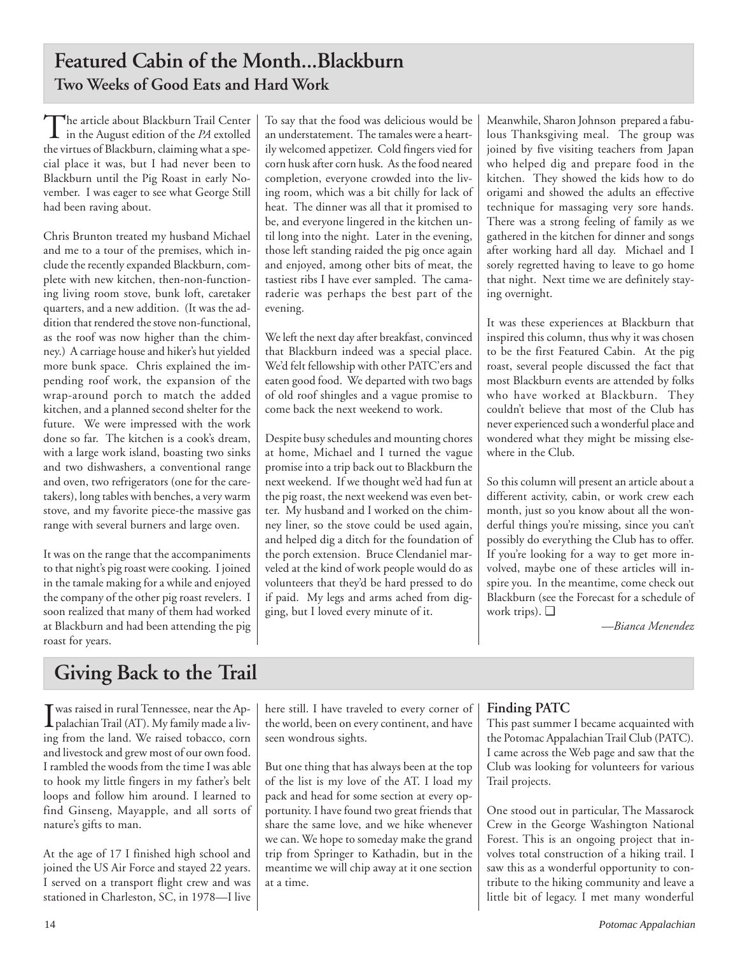## **Featured Cabin of the Month...Blackburn Two Weeks of Good Eats and Hard Work**

The article about Blackburn Trail Center in the August edition of the *PA* extolled the virtues of Blackburn, claiming what a special place it was, but I had never been to Blackburn until the Pig Roast in early November. I was eager to see what George Still had been raving about.

Chris Brunton treated my husband Michael and me to a tour of the premises, which include the recently expanded Blackburn, complete with new kitchen, then-non-functioning living room stove, bunk loft, caretaker quarters, and a new addition. (It was the addition that rendered the stove non-functional, as the roof was now higher than the chimney.) A carriage house and hiker's hut yielded more bunk space. Chris explained the impending roof work, the expansion of the wrap-around porch to match the added kitchen, and a planned second shelter for the future. We were impressed with the work done so far. The kitchen is a cook's dream, with a large work island, boasting two sinks and two dishwashers, a conventional range and oven, two refrigerators (one for the caretakers), long tables with benches, a very warm stove, and my favorite piece-the massive gas range with several burners and large oven.

It was on the range that the accompaniments to that night's pig roast were cooking. I joined in the tamale making for a while and enjoyed the company of the other pig roast revelers. I soon realized that many of them had worked at Blackburn and had been attending the pig roast for years.

To say that the food was delicious would be an understatement. The tamales were a heartily welcomed appetizer. Cold fingers vied for corn husk after corn husk. As the food neared completion, everyone crowded into the living room, which was a bit chilly for lack of heat. The dinner was all that it promised to be, and everyone lingered in the kitchen until long into the night. Later in the evening, those left standing raided the pig once again and enjoyed, among other bits of meat, the tastiest ribs I have ever sampled. The camaraderie was perhaps the best part of the evening.

We left the next day after breakfast, convinced that Blackburn indeed was a special place. We'd felt fellowship with other PATC'ers and eaten good food. We departed with two bags of old roof shingles and a vague promise to come back the next weekend to work.

Despite busy schedules and mounting chores at home, Michael and I turned the vague promise into a trip back out to Blackburn the next weekend. If we thought we'd had fun at the pig roast, the next weekend was even better. My husband and I worked on the chimney liner, so the stove could be used again, and helped dig a ditch for the foundation of the porch extension. Bruce Clendaniel marveled at the kind of work people would do as volunteers that they'd be hard pressed to do if paid. My legs and arms ached from digging, but I loved every minute of it.

Meanwhile, Sharon Johnson prepared a fabulous Thanksgiving meal. The group was joined by five visiting teachers from Japan who helped dig and prepare food in the kitchen. They showed the kids how to do origami and showed the adults an effective technique for massaging very sore hands. There was a strong feeling of family as we gathered in the kitchen for dinner and songs after working hard all day. Michael and I sorely regretted having to leave to go home that night. Next time we are definitely staying overnight.

It was these experiences at Blackburn that inspired this column, thus why it was chosen to be the first Featured Cabin. At the pig roast, several people discussed the fact that most Blackburn events are attended by folks who have worked at Blackburn. They couldn't believe that most of the Club has never experienced such a wonderful place and wondered what they might be missing elsewhere in the Club.

So this column will present an article about a different activity, cabin, or work crew each month, just so you know about all the wonderful things you're missing, since you can't possibly do everything the Club has to offer. If you're looking for a way to get more involved, maybe one of these articles will inspire you. In the meantime, come check out Blackburn (see the Forecast for a schedule of work trips). ❑

*—Bianca Menendez*

## **Giving Back to the Trail**

I was raised in rural Tennessee, near the Ap-<br>palachian Trail (AT). My family made a livpalachian Trail (AT). My family made a living from the land. We raised tobacco, corn and livestock and grew most of our own food. I rambled the woods from the time I was able to hook my little fingers in my father's belt loops and follow him around. I learned to find Ginseng, Mayapple, and all sorts of nature's gifts to man.

At the age of 17 I finished high school and joined the US Air Force and stayed 22 years. I served on a transport flight crew and was stationed in Charleston, SC, in 1978—I live here still. I have traveled to every corner of the world, been on every continent, and have seen wondrous sights.

But one thing that has always been at the top of the list is my love of the AT. I load my pack and head for some section at every opportunity. I have found two great friends that share the same love, and we hike whenever we can. We hope to someday make the grand trip from Springer to Kathadin, but in the meantime we will chip away at it one section at a time.

## **Finding PATC**

This past summer I became acquainted with the Potomac Appalachian Trail Club (PATC). I came across the Web page and saw that the Club was looking for volunteers for various Trail projects.

One stood out in particular, The Massarock Crew in the George Washington National Forest. This is an ongoing project that involves total construction of a hiking trail. I saw this as a wonderful opportunity to contribute to the hiking community and leave a little bit of legacy. I met many wonderful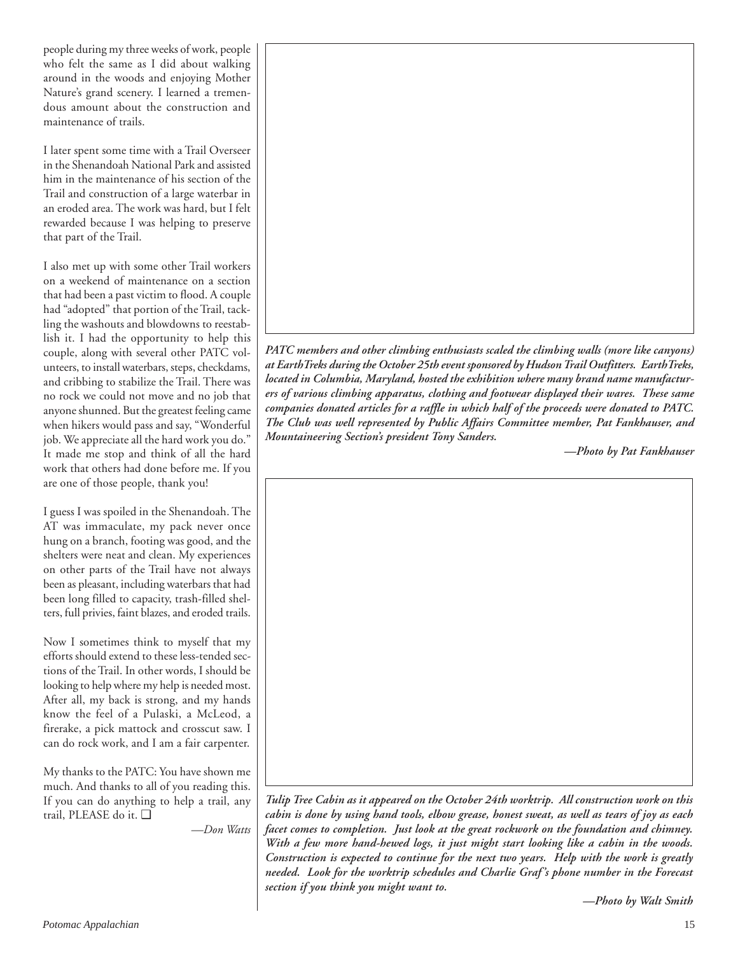people during my three weeks of work, people who felt the same as I did about walking around in the woods and enjoying Mother Nature's grand scenery. I learned a tremendous amount about the construction and maintenance of trails.

I later spent some time with a Trail Overseer in the Shenandoah National Park and assisted him in the maintenance of his section of the Trail and construction of a large waterbar in an eroded area. The work was hard, but I felt rewarded because I was helping to preserve that part of the Trail.

I also met up with some other Trail workers on a weekend of maintenance on a section that had been a past victim to flood. A couple had "adopted" that portion of the Trail, tackling the washouts and blowdowns to reestablish it. I had the opportunity to help this couple, along with several other PATC volunteers, to install waterbars, steps, checkdams, and cribbing to stabilize the Trail. There was no rock we could not move and no job that anyone shunned. But the greatest feeling came when hikers would pass and say, "Wonderful job. We appreciate all the hard work you do." It made me stop and think of all the hard work that others had done before me. If you are one of those people, thank you!

I guess I was spoiled in the Shenandoah. The AT was immaculate, my pack never once hung on a branch, footing was good, and the shelters were neat and clean. My experiences on other parts of the Trail have not always been as pleasant, including waterbars that had been long filled to capacity, trash-filled shelters, full privies, faint blazes, and eroded trails.

Now I sometimes think to myself that my efforts should extend to these less-tended sections of the Trail. In other words, I should be looking to help where my help is needed most. After all, my back is strong, and my hands know the feel of a Pulaski, a McLeod, a firerake, a pick mattock and crosscut saw. I can do rock work, and I am a fair carpenter.

My thanks to the PATC: You have shown me much. And thanks to all of you reading this. If you can do anything to help a trail, any trail, PLEASE do it. ❑

*—Don Watts*



*PATC members and other climbing enthusiasts scaled the climbing walls (more like canyons) at EarthTreks during the October 25th event sponsored by Hudson Trail Outfitters. EarthTreks, located in Columbia, Maryland, hosted the exhibition where many brand name manufacturers of various climbing apparatus, clothing and footwear displayed their wares. These same companies donated articles for a raffle in which half of the proceeds were donated to PATC. The Club was well represented by Public Affairs Committee member, Pat Fankhauser, and Mountaineering Section's president Tony Sanders.*

*—Photo by Pat Fankhauser*

*Tulip Tree Cabin as it appeared on the October 24th worktrip. All construction work on this cabin is done by using hand tools, elbow grease, honest sweat, as well as tears of joy as each facet comes to completion. Just look at the great rockwork on the foundation and chimney. With a few more hand-hewed logs, it just might start looking like a cabin in the woods. Construction is expected to continue for the next two years. Help with the work is greatly needed. Look for the worktrip schedules and Charlie Graf's phone number in the Forecast section if you think you might want to.*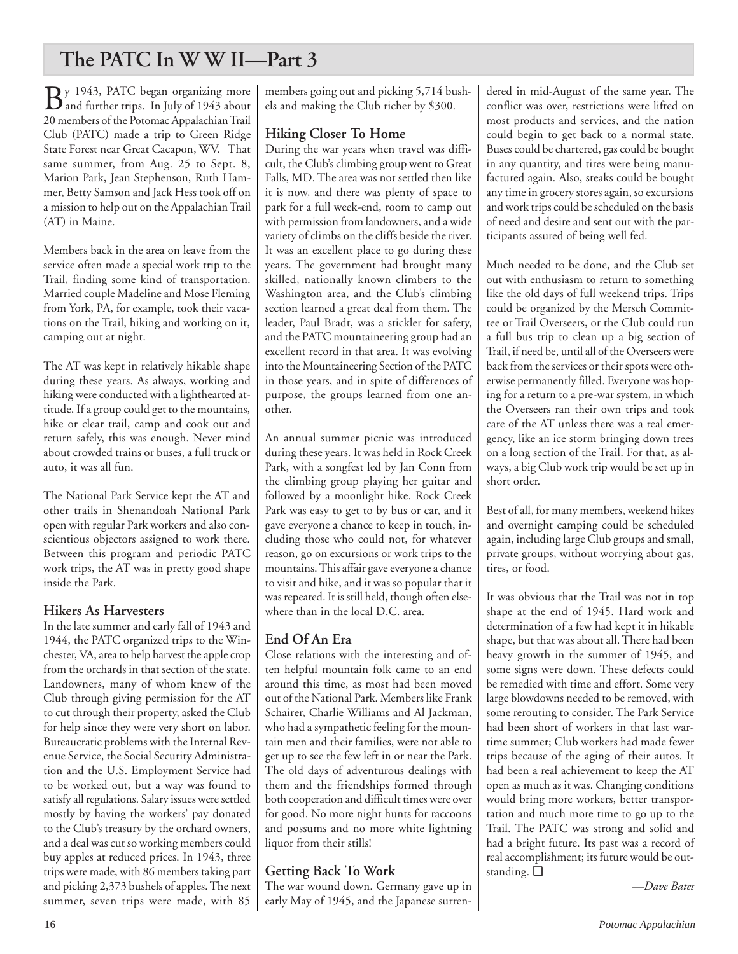## **The PATC In W W II—Part 3**

 $\mathbf{B}$ y 1943, PATC began organizing more 20 members of the Potomac Appalachian Trail Club (PATC) made a trip to Green Ridge State Forest near Great Cacapon, WV. That same summer, from Aug. 25 to Sept. 8, Marion Park, Jean Stephenson, Ruth Hammer, Betty Samson and Jack Hess took off on a mission to help out on the Appalachian Trail (AT) in Maine.

Members back in the area on leave from the service often made a special work trip to the Trail, finding some kind of transportation. Married couple Madeline and Mose Fleming from York, PA, for example, took their vacations on the Trail, hiking and working on it, camping out at night.

The AT was kept in relatively hikable shape during these years. As always, working and hiking were conducted with a lighthearted attitude. If a group could get to the mountains, hike or clear trail, camp and cook out and return safely, this was enough. Never mind about crowded trains or buses, a full truck or auto, it was all fun.

The National Park Service kept the AT and other trails in Shenandoah National Park open with regular Park workers and also conscientious objectors assigned to work there. Between this program and periodic PATC work trips, the AT was in pretty good shape inside the Park.

### **Hikers As Harvesters**

In the late summer and early fall of 1943 and 1944, the PATC organized trips to the Winchester, VA, area to help harvest the apple crop from the orchards in that section of the state. Landowners, many of whom knew of the Club through giving permission for the AT to cut through their property, asked the Club for help since they were very short on labor. Bureaucratic problems with the Internal Revenue Service, the Social Security Administration and the U.S. Employment Service had to be worked out, but a way was found to satisfy all regulations. Salary issues were settled mostly by having the workers' pay donated to the Club's treasury by the orchard owners, and a deal was cut so working members could buy apples at reduced prices. In 1943, three trips were made, with 86 members taking part and picking 2,373 bushels of apples. The next summer, seven trips were made, with 85

members going out and picking 5,714 bushels and making the Club richer by \$300.

### **Hiking Closer To Home**

During the war years when travel was difficult, the Club's climbing group went to Great Falls, MD. The area was not settled then like it is now, and there was plenty of space to park for a full week-end, room to camp out with permission from landowners, and a wide variety of climbs on the cliffs beside the river. It was an excellent place to go during these years. The government had brought many skilled, nationally known climbers to the Washington area, and the Club's climbing section learned a great deal from them. The leader, Paul Bradt, was a stickler for safety, and the PATC mountaineering group had an excellent record in that area. It was evolving into the Mountaineering Section of the PATC in those years, and in spite of differences of purpose, the groups learned from one another.

An annual summer picnic was introduced during these years. It was held in Rock Creek Park, with a songfest led by Jan Conn from the climbing group playing her guitar and followed by a moonlight hike. Rock Creek Park was easy to get to by bus or car, and it gave everyone a chance to keep in touch, including those who could not, for whatever reason, go on excursions or work trips to the mountains. This affair gave everyone a chance to visit and hike, and it was so popular that it was repeated. It is still held, though often elsewhere than in the local D.C. area.

### **End Of An Era**

Close relations with the interesting and often helpful mountain folk came to an end around this time, as most had been moved out of the National Park. Members like Frank Schairer, Charlie Williams and Al Jackman, who had a sympathetic feeling for the mountain men and their families, were not able to get up to see the few left in or near the Park. The old days of adventurous dealings with them and the friendships formed through both cooperation and difficult times were over for good. No more night hunts for raccoons and possums and no more white lightning liquor from their stills!

## **Getting Back To Work**

The war wound down. Germany gave up in early May of 1945, and the Japanese surrendered in mid-August of the same year. The conflict was over, restrictions were lifted on most products and services, and the nation could begin to get back to a normal state. Buses could be chartered, gas could be bought in any quantity, and tires were being manufactured again. Also, steaks could be bought any time in grocery stores again, so excursions and work trips could be scheduled on the basis of need and desire and sent out with the participants assured of being well fed.

Much needed to be done, and the Club set out with enthusiasm to return to something like the old days of full weekend trips. Trips could be organized by the Mersch Committee or Trail Overseers, or the Club could run a full bus trip to clean up a big section of Trail, if need be, until all of the Overseers were back from the services or their spots were otherwise permanently filled. Everyone was hoping for a return to a pre-war system, in which the Overseers ran their own trips and took care of the AT unless there was a real emergency, like an ice storm bringing down trees on a long section of the Trail. For that, as always, a big Club work trip would be set up in short order.

Best of all, for many members, weekend hikes and overnight camping could be scheduled again, including large Club groups and small, private groups, without worrying about gas, tires, or food.

It was obvious that the Trail was not in top shape at the end of 1945. Hard work and determination of a few had kept it in hikable shape, but that was about all. There had been heavy growth in the summer of 1945, and some signs were down. These defects could be remedied with time and effort. Some very large blowdowns needed to be removed, with some rerouting to consider. The Park Service had been short of workers in that last wartime summer; Club workers had made fewer trips because of the aging of their autos. It had been a real achievement to keep the AT open as much as it was. Changing conditions would bring more workers, better transportation and much more time to go up to the Trail. The PATC was strong and solid and had a bright future. Its past was a record of real accomplishment; its future would be outstanding. ❑

*—Dave Bates*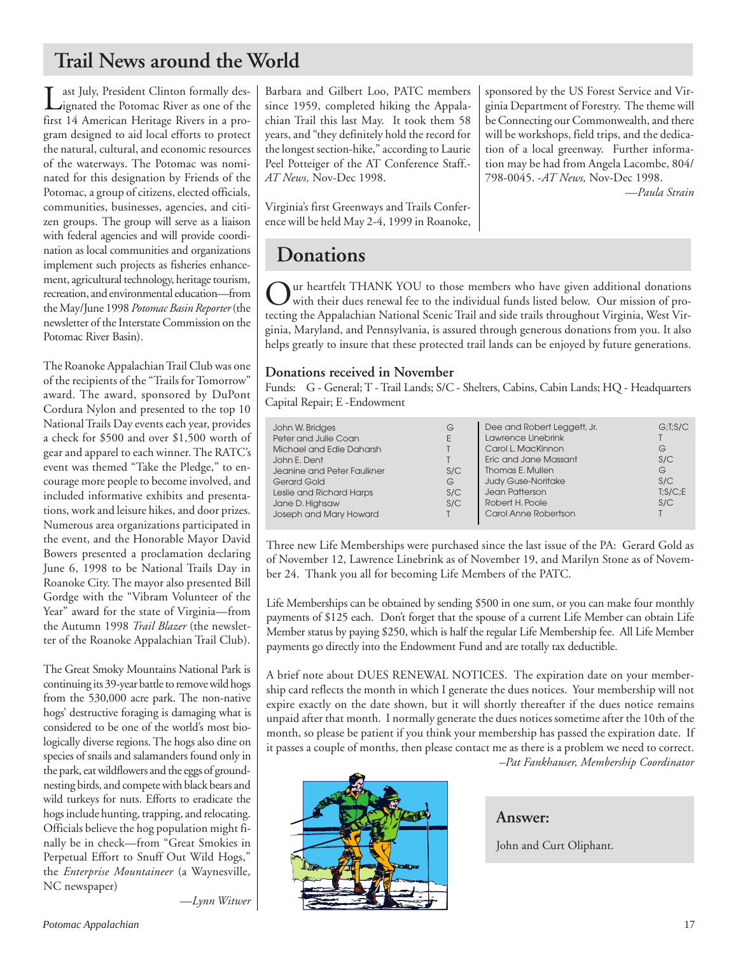## **Trail News around the World**

Last July, President Clinton formally des-ignated the Potomac River as one of the first 14 American Heritage Rivers in a program designed to aid local efforts to protect the natural, cultural, and economic resources of the waterways. The Potomac was nominated for this designation by Friends of the Potomac, a group of citizens, elected officials, communities, businesses, agencies, and citizen groups. The group will serve as a liaison with federal agencies and will provide coordination as local communities and organizations implement such projects as fisheries enhancement, agricultural technology, heritage tourism, recreation, and environmental education—from the May/June 1998 *Potomac Basin Reporter* (the newsletter of the Interstate Commission on the Potomac River Basin).

The Roanoke Appalachian Trail Club was one of the recipients of the "Trails for Tomorrow" award. The award, sponsored by DuPont Cordura Nylon and presented to the top 10 National Trails Day events each year, provides a check for \$500 and over \$1,500 worth of gear and apparel to each winner. The RATC's event was themed "Take the Pledge," to encourage more people to become involved, and included informative exhibits and presentations, work and leisure hikes, and door prizes. Numerous area organizations participated in the event, and the Honorable Mayor David Bowers presented a proclamation declaring June 6, 1998 to be National Trails Day in Roanoke City. The mayor also presented Bill Gordge with the "Vibram Volunteer of the Year" award for the state of Virginia—from the Autumn 1998 *Trail Blazer* (the newsletter of the Roanoke Appalachian Trail Club).

The Great Smoky Mountains National Park is continuing its 39-year battle to remove wild hogs from the 530,000 acre park. The non-native hogs' destructive foraging is damaging what is considered to be one of the world's most biologically diverse regions. The hogs also dine on species of snails and salamanders found only in the park, eat wildflowers and the eggs of groundnesting birds, and compete with black bears and wild turkeys for nuts. Efforts to eradicate the hogs include hunting, trapping, and relocating. Officials believe the hog population might finally be in check—from "Great Smokies in Perpetual Effort to Snuff Out Wild Hogs," the *Enterprise Mountaineer* (a Waynesville, NC newspaper)

Barbara and Gilbert Loo, PATC members since 1959, completed hiking the Appalachian Trail this last May. It took them 58 years, and "they definitely hold the record for the longest section-hike," according to Laurie Peel Potteiger of the AT Conference Staff.- *AT News,* Nov-Dec 1998.

Virginia's first Greenways and Trails Conference will be held May 2-4, 1999 in Roanoke, sponsored by the US Forest Service and Virginia Department of Forestry. The theme will be Connecting our Commonwealth, and there will be workshops, field trips, and the dedication of a local greenway. Further information may be had from Angela Lacombe, 804/ 798-0045. -*AT News,* Nov-Dec 1998.

*—Paula Strain*

## **Donations**

Our heartfelt THANK YOU to those members who have given additional donations with their dues renewal fee to the individual funds listed below. Our mission of protecting the Appalachian National Scenic Trail and side trails throughout Virginia, West Virginia, Maryland, and Pennsylvania, is assured through generous donations from you. It also helps greatly to insure that these protected trail lands can be enjoyed by future generations.

### **Donations received in November**

Funds: G - General; T - Trail Lands; S/C - Shelters, Cabins, Cabin Lands; HQ - Headquarters Capital Repair; E -Endowment

| John W. Bridges<br>Peter and Julie Coan<br>Michael and Edie Daharsh<br>John E. Dent<br>Jeanine and Peter Faulkner<br>Gerard Gold<br>Leslie and Richard Harps<br>Jane D. Highsaw<br>Joseph and Mary Howard | G<br>E<br>S/C<br>G<br>S/C<br>S/C<br>T. | Dee and Robert Leggett, Jr.<br>Lawrence Linebrink<br>Carol L. MacKinnon<br>Eric and Jane Massant<br>Thomas E. Mullen<br><b>Judy Guse-Noritake</b><br>Jean Patterson<br>Robert H. Poole<br>Carol Anne Robertson | G:I:S/C<br>G<br>S/C<br>G<br>S/C<br>T: S/C: E<br>S/C |
|-----------------------------------------------------------------------------------------------------------------------------------------------------------------------------------------------------------|----------------------------------------|----------------------------------------------------------------------------------------------------------------------------------------------------------------------------------------------------------------|-----------------------------------------------------|
|-----------------------------------------------------------------------------------------------------------------------------------------------------------------------------------------------------------|----------------------------------------|----------------------------------------------------------------------------------------------------------------------------------------------------------------------------------------------------------------|-----------------------------------------------------|

Three new Life Memberships were purchased since the last issue of the PA: Gerard Gold as of November 12, Lawrence Linebrink as of November 19, and Marilyn Stone as of November 24. Thank you all for becoming Life Members of the PATC.

Life Memberships can be obtained by sending \$500 in one sum, or you can make four monthly payments of \$125 each. Don't forget that the spouse of a current Life Member can obtain Life Member status by paying \$250, which is half the regular Life Membership fee. All Life Member payments go directly into the Endowment Fund and are totally tax deductible.

A brief note about DUES RENEWAL NOTICES. The expiration date on your membership card reflects the month in which I generate the dues notices. Your membership will not expire exactly on the date shown, but it will shortly thereafter if the dues notice remains unpaid after that month. I normally generate the dues notices sometime after the 10th of the month, so please be patient if you think your membership has passed the expiration date. If it passes a couple of months, then please contact me as there is a problem we need to correct.





**Answer:**

John and Curt Oliphant.

*—Lynn Witwer*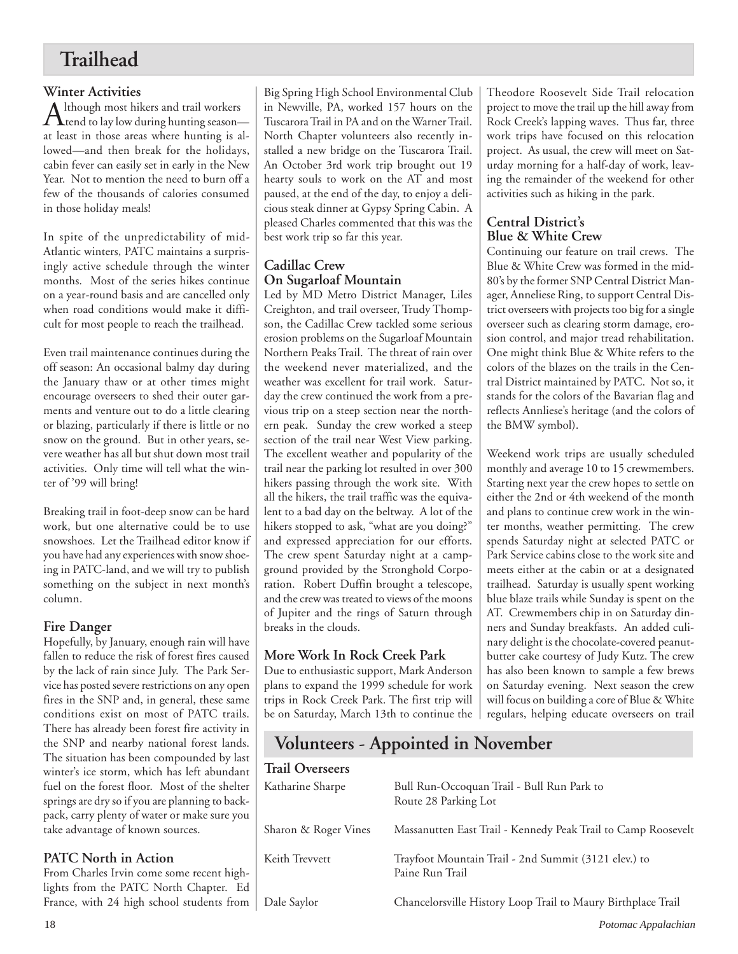## **Trailhead**

**Winter Activities**<br> **A** lthough most hikers and trail workers Although most hikers and trail workers<br>tend to lay low during hunting season at least in those areas where hunting is allowed—and then break for the holidays, cabin fever can easily set in early in the New Year. Not to mention the need to burn off a few of the thousands of calories consumed in those holiday meals!

In spite of the unpredictability of mid-Atlantic winters, PATC maintains a surprisingly active schedule through the winter months. Most of the series hikes continue on a year-round basis and are cancelled only when road conditions would make it difficult for most people to reach the trailhead.

Even trail maintenance continues during the off season: An occasional balmy day during the January thaw or at other times might encourage overseers to shed their outer garments and venture out to do a little clearing or blazing, particularly if there is little or no snow on the ground. But in other years, severe weather has all but shut down most trail activities. Only time will tell what the winter of '99 will bring!

Breaking trail in foot-deep snow can be hard work, but one alternative could be to use snowshoes. Let the Trailhead editor know if you have had any experiences with snow shoeing in PATC-land, and we will try to publish something on the subject in next month's column.

## **Fire Danger**

Hopefully, by January, enough rain will have fallen to reduce the risk of forest fires caused by the lack of rain since July. The Park Service has posted severe restrictions on any open fires in the SNP and, in general, these same conditions exist on most of PATC trails. There has already been forest fire activity in the SNP and nearby national forest lands. The situation has been compounded by last winter's ice storm, which has left abundant fuel on the forest floor. Most of the shelter springs are dry so if you are planning to backpack, carry plenty of water or make sure you take advantage of known sources.

## **PATC North in Action**

Big Spring High School Environmental Club in Newville, PA, worked 157 hours on the Tuscarora Trail in PA and on the Warner Trail. North Chapter volunteers also recently installed a new bridge on the Tuscarora Trail. An October 3rd work trip brought out 19 hearty souls to work on the AT and most paused, at the end of the day, to enjoy a delicious steak dinner at Gypsy Spring Cabin. A pleased Charles commented that this was the best work trip so far this year.

### **Cadillac Crew On Sugarloaf Mountain**

Led by MD Metro District Manager, Liles Creighton, and trail overseer, Trudy Thompson, the Cadillac Crew tackled some serious erosion problems on the Sugarloaf Mountain Northern Peaks Trail. The threat of rain over the weekend never materialized, and the weather was excellent for trail work. Saturday the crew continued the work from a previous trip on a steep section near the northern peak. Sunday the crew worked a steep section of the trail near West View parking. The excellent weather and popularity of the trail near the parking lot resulted in over 300 hikers passing through the work site. With all the hikers, the trail traffic was the equivalent to a bad day on the beltway. A lot of the hikers stopped to ask, "what are you doing?" and expressed appreciation for our efforts. The crew spent Saturday night at a campground provided by the Stronghold Corporation. Robert Duffin brought a telescope, and the crew was treated to views of the moons of Jupiter and the rings of Saturn through breaks in the clouds.

## **More Work In Rock Creek Park**

Due to enthusiastic support, Mark Anderson plans to expand the 1999 schedule for work trips in Rock Creek Park. The first trip will be on Saturday, March 13th to continue the Theodore Roosevelt Side Trail relocation project to move the trail up the hill away from Rock Creek's lapping waves. Thus far, three work trips have focused on this relocation project. As usual, the crew will meet on Saturday morning for a half-day of work, leaving the remainder of the weekend for other activities such as hiking in the park.

### **Central District's Blue & White Crew**

Continuing our feature on trail crews. The Blue & White Crew was formed in the mid-80's by the former SNP Central District Manager, Anneliese Ring, to support Central District overseers with projects too big for a single overseer such as clearing storm damage, erosion control, and major tread rehabilitation. One might think Blue & White refers to the colors of the blazes on the trails in the Central District maintained by PATC. Not so, it stands for the colors of the Bavarian flag and reflects Annliese's heritage (and the colors of the BMW symbol).

Weekend work trips are usually scheduled monthly and average 10 to 15 crewmembers. Starting next year the crew hopes to settle on either the 2nd or 4th weekend of the month and plans to continue crew work in the winter months, weather permitting. The crew spends Saturday night at selected PATC or Park Service cabins close to the work site and meets either at the cabin or at a designated trailhead. Saturday is usually spent working blue blaze trails while Sunday is spent on the AT. Crewmembers chip in on Saturday dinners and Sunday breakfasts. An added culinary delight is the chocolate-covered peanutbutter cake courtesy of Judy Kutz. The crew has also been known to sample a few brews on Saturday evening. Next season the crew will focus on building a core of Blue & White regulars, helping educate overseers on trail

## **Volunteers - Appointed in November**

| winter's ice storm, which has left abundant                                                                                                      | <b>Trail Overseers</b> |                                                                         |
|--------------------------------------------------------------------------------------------------------------------------------------------------|------------------------|-------------------------------------------------------------------------|
| fuel on the forest floor. Most of the shelter<br>springs are dry so if you are planning to back-<br>pack, carry plenty of water or make sure you | Katharine Sharpe       | Bull Run-Occoquan Trail - Bull Run Park to<br>Route 28 Parking Lot      |
| take advantage of known sources.                                                                                                                 | Sharon & Roger Vines   | Massanutten East Trail - Kennedy Peak Trail to Camp Roosevelt           |
| <b>PATC North in Action</b><br>From Charles Irvin come some recent high-<br>lights from the PATC North Chapter. Ed                               | Keith Trevvett         | Trayfoot Mountain Trail - 2nd Summit (3121 elev.) to<br>Paine Run Trail |
| France, with 24 high school students from                                                                                                        | Dale Saylor            | Chancelorsville History Loop Trail to Maury Birthplace Trail            |
| 18                                                                                                                                               |                        | Potomac Appalachian                                                     |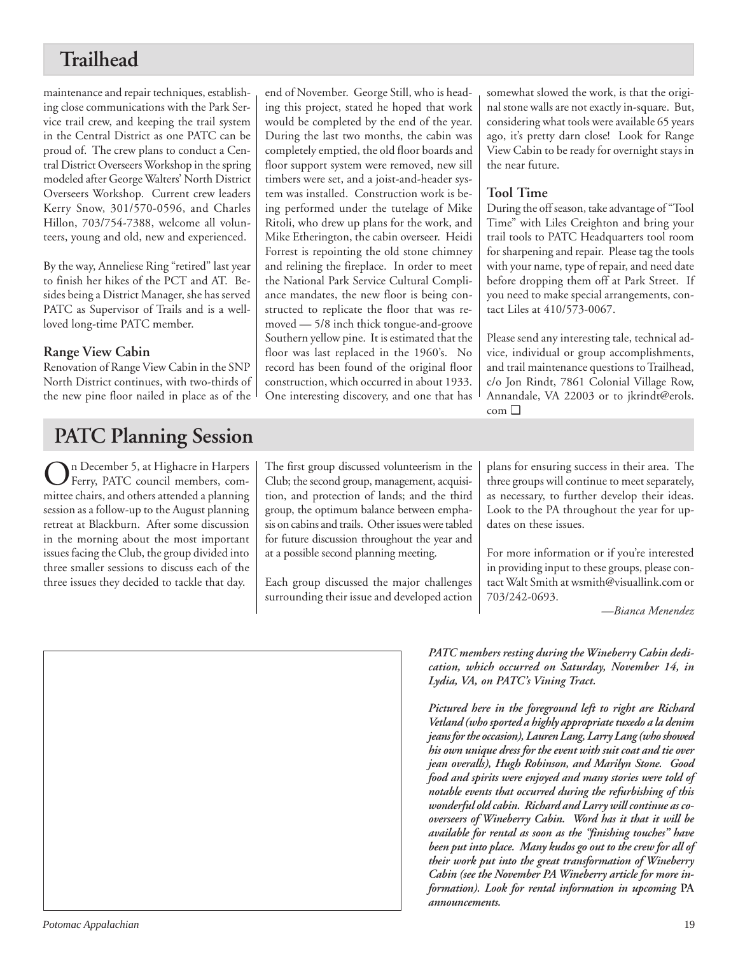## **Trailhead**

maintenance and repair techniques, establishing close communications with the Park Service trail crew, and keeping the trail system in the Central District as one PATC can be proud of. The crew plans to conduct a Central District Overseers Workshop in the spring modeled after George Walters' North District Overseers Workshop. Current crew leaders Kerry Snow, 301/570-0596, and Charles Hillon, 703/754-7388, welcome all volunteers, young and old, new and experienced.

By the way, Anneliese Ring "retired" last year to finish her hikes of the PCT and AT. Besides being a District Manager, she has served PATC as Supervisor of Trails and is a wellloved long-time PATC member.

### **Range View Cabin**

Renovation of Range View Cabin in the SNP North District continues, with two-thirds of the new pine floor nailed in place as of the

## **PATC Planning Session**

On December 5, at Highacre in Harpers Ferry, PATC council members, committee chairs, and others attended a planning session as a follow-up to the August planning retreat at Blackburn. After some discussion in the morning about the most important issues facing the Club, the group divided into three smaller sessions to discuss each of the three issues they decided to tackle that day.

end of November. George Still, who is heading this project, stated he hoped that work would be completed by the end of the year. During the last two months, the cabin was completely emptied, the old floor boards and floor support system were removed, new sill timbers were set, and a joist-and-header system was installed. Construction work is being performed under the tutelage of Mike Ritoli, who drew up plans for the work, and Mike Etherington, the cabin overseer. Heidi Forrest is repointing the old stone chimney and relining the fireplace. In order to meet the National Park Service Cultural Compliance mandates, the new floor is being constructed to replicate the floor that was removed — 5/8 inch thick tongue-and-groove Southern yellow pine. It is estimated that the floor was last replaced in the 1960's. No record has been found of the original floor construction, which occurred in about 1933. One interesting discovery, and one that has somewhat slowed the work, is that the original stone walls are not exactly in-square. But, considering what tools were available 65 years ago, it's pretty darn close! Look for Range View Cabin to be ready for overnight stays in the near future.

### **Tool Time**

During the off season, take advantage of "Tool Time" with Liles Creighton and bring your trail tools to PATC Headquarters tool room for sharpening and repair. Please tag the tools with your name, type of repair, and need date before dropping them off at Park Street. If you need to make special arrangements, contact Liles at 410/573-0067.

Please send any interesting tale, technical advice, individual or group accomplishments, and trail maintenance questions to Trailhead, c/o Jon Rindt, 7861 Colonial Village Row, Annandale, VA 22003 or to jkrindt@erols. com ❑

The first group discussed volunteerism in the Club; the second group, management, acquisition, and protection of lands; and the third group, the optimum balance between emphasis on cabins and trails. Other issues were tabled for future discussion throughout the year and at a possible second planning meeting.

Each group discussed the major challenges surrounding their issue and developed action plans for ensuring success in their area. The three groups will continue to meet separately, as necessary, to further develop their ideas. Look to the PA throughout the year for updates on these issues.

For more information or if you're interested in providing input to these groups, please contact Walt Smith at wsmith@visuallink.com or 703/242-0693.

*—Bianca Menendez*

*PATC members resting during the Wineberry Cabin dedication, which occurred on Saturday, November 14, in Lydia, VA, on PATC's Vining Tract.*

*Pictured here in the foreground left to right are Richard Vetland (who sported a highly appropriate tuxedo a la denim jeans for the occasion), Lauren Lang, Larry Lang (who showed his own unique dress for the event with suit coat and tie over jean overalls), Hugh Robinson, and Marilyn Stone. Good food and spirits were enjoyed and many stories were told of notable events that occurred during the refurbishing of this wonderful old cabin. Richard and Larry will continue as cooverseers of Wineberry Cabin. Word has it that it will be available for rental as soon as the "finishing touches" have been put into place. Many kudos go out to the crew for all of their work put into the great transformation of Wineberry Cabin (see the November PA Wineberry article for more information). Look for rental information in upcoming* **PA** *announcements.*